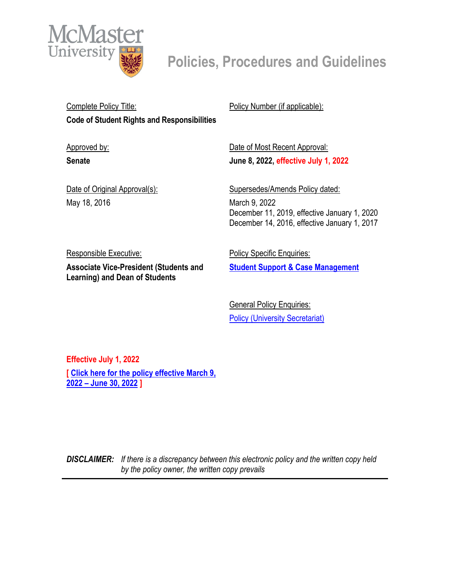

Complete Policy Title: **Code of Student Rights and Responsibilities**

Approved by: **Senate** 

Policy Number (if applicable):

Date of Most Recent Approval: **June 8, 2022, effective July 1, 2022**

Date of Original Approval(s): May 18, 2016

Supersedes/Amends Policy dated: March 9, 2022 December 11, 2019, effective January 1, 2020 December 14, 2016, effective January 1, 2017

Responsible Executive: **Associate Vice-President (Students and Learning) and Dean of Students**

**Policy Specific Enquiries: [Student Support & Case Management](mailto:sscmo@mcmaster.ca?subject=Inquiry%20-%20Code%20of%20Student%20Rights%20and%20Responsibilities)**

**General Policy Enquiries:** [Policy \(University](mailto:policy@mcmaster.ca?subject=%20Inquiry) Secretariat)

**Effective July 1, 2022 [ [Click here for the policy effective March 9,](https://secretariat.mcmaster.ca/app/uploads/Code-of-Student-Rights-and-Responsibilities.pdf)  [2022 – June 30, 2022](https://secretariat.mcmaster.ca/app/uploads/Code-of-Student-Rights-and-Responsibilities.pdf) ]**

*DISCLAIMER: If there is a discrepancy between this electronic policy and the written copy held by the policy owner, the written copy prevails*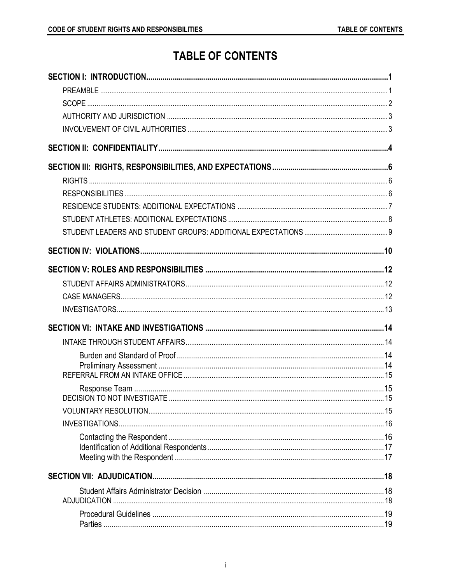# **TABLE OF CONTENTS**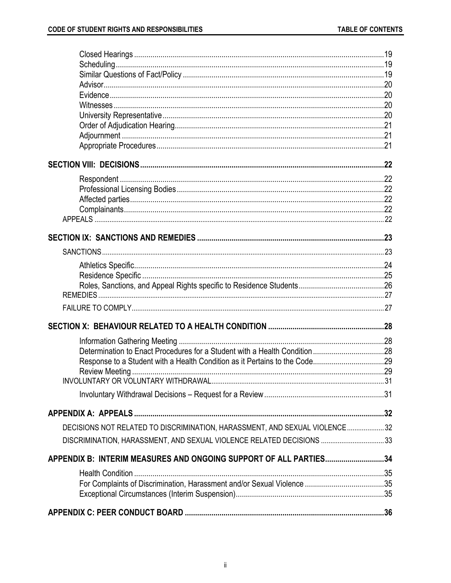| DECISIONS NOT RELATED TO DISCRIMINATION, HARASSMENT, AND SEXUAL VIOLENCE32 |  |
|----------------------------------------------------------------------------|--|
| DISCRIMINATION, HARASSMENT, AND SEXUAL VIOLENCE RELATED DECISIONS 33       |  |
| APPENDIX B: INTERIM MEASURES AND ONGOING SUPPORT OF ALL PARTIES34          |  |
|                                                                            |  |
|                                                                            |  |
|                                                                            |  |
|                                                                            |  |
|                                                                            |  |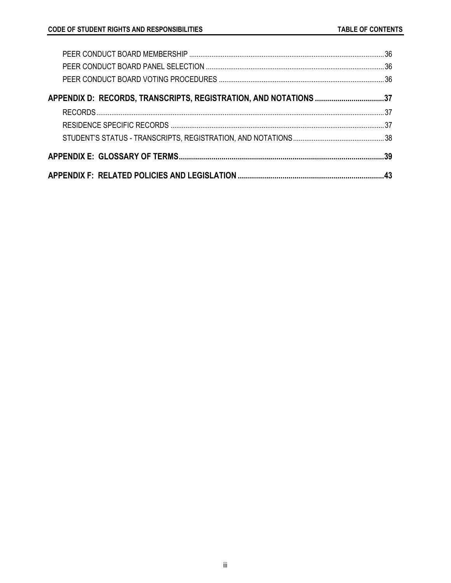| APPENDIX D: RECORDS, TRANSCRIPTS, REGISTRATION, AND NOTATIONS 37 |  |
|------------------------------------------------------------------|--|
|                                                                  |  |
|                                                                  |  |
|                                                                  |  |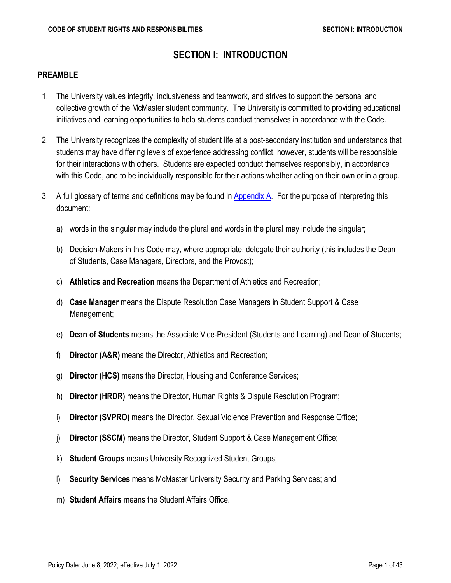## **SECTION I: INTRODUCTION**

#### <span id="page-4-1"></span><span id="page-4-0"></span>**PREAMBLE**

- 1. The University values integrity, inclusiveness and teamwork, and strives to support the personal and collective growth of the McMaster student community. The University is committed to providing educational initiatives and learning opportunities to help students conduct themselves in accordance with the Code.
- 2. The University recognizes the complexity of student life at a post-secondary institution and understands that students may have differing levels of experience addressing conflict, however, students will be responsible for their interactions with others. Students are expected conduct themselves responsibly, in accordance with this Code, and to be individually responsible for their actions whether acting on their own or in a group.
- <span id="page-4-7"></span><span id="page-4-6"></span><span id="page-4-5"></span><span id="page-4-4"></span><span id="page-4-3"></span><span id="page-4-2"></span>3. A full glossary of terms and definitions may be found in [Appendix A.](#page-35-2) For the purpose of interpreting this document:
	- a) words in the singular may include the plural and words in the plural may include the singular;
	- b) Decision-Makers in this Code may, where appropriate, delegate their authority (this includes the Dean of Students, Case Managers, Directors, and the Provost);
	- c) **Athletics and Recreation** means the Department of Athletics and Recreation;
	- d) **Case Manager** means the Dispute Resolution Case Managers in Student Support & Case Management;
	- e) **Dean of Students** means the Associate Vice-President (Students and Learning) and Dean of Students;
	- f) **Director (A&R)** means the Director, Athletics and Recreation;
	- g) **Director (HCS)** means the Director, Housing and Conference Services;
	- h) **Director (HRDR)** means the Director, Human Rights & Dispute Resolution Program;
	- i) **Director (SVPRO)** means the Director, Sexual Violence Prevention and Response Office;
	- j) **Director (SSCM)** means the Director, Student Support & Case Management Office;
	- k) **Student Groups** means University Recognized Student Groups;
	- l) **Security Services** means McMaster University Security and Parking Services; and
	- m) **Student Affairs** means the Student Affairs Office.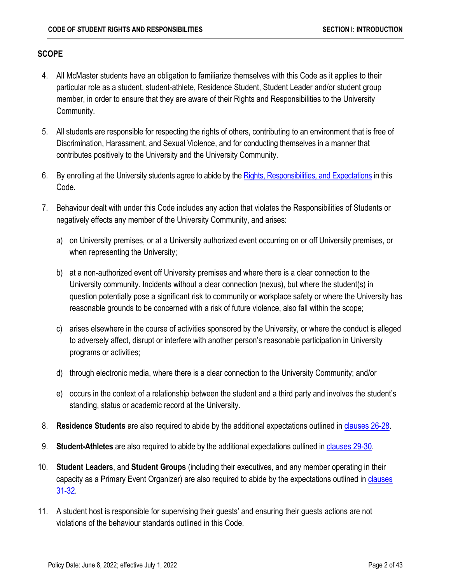### <span id="page-5-0"></span>**SCOPE**

- 4. All McMaster students have an obligation to familiarize themselves with this Code as it applies to their particular role as a student, student-athlete, Residence Student, Student Leader and/or student group member, in order to ensure that they are aware of their Rights and Responsibilities to the University Community.
- 5. All students are responsible for respecting the rights of others, contributing to an environment that is free of Discrimination, Harassment, and Sexual Violence, and for conducting themselves in a manner that contributes positively to the University and the University Community.
- 6. By enrolling at the University students agree to abide by the [Rights, Responsibilities, and Expectations](#page-9-0) in this Code.
- 7. Behaviour dealt with under this Code includes any action that violates the Responsibilities of Students or negatively effects any member of the University Community, and arises:
	- a) on University premises, or at a University authorized event occurring on or off University premises, or when representing the University;
	- b) at a non-authorized event off University premises and where there is a clear connection to the University community. Incidents without a clear connection (nexus), but where the student(s) in question potentially pose a significant risk to community or workplace safety or where the University has reasonable grounds to be concerned with a risk of future violence, also fall within the scope;
	- c) arises elsewhere in the course of activities sponsored by the University, or where the conduct is alleged to adversely affect, disrupt or interfere with another person's reasonable participation in University programs or activities;
	- d) through electronic media, where there is a clear connection to the University Community; and/or
	- e) occurs in the context of a relationship between the student and a third party and involves the student's standing, status or academic record at the University.
- 8. **Residence Students** are also required to abide by the additional expectations outlined in [clauses 26-28.](#page-10-1)
- 9. **Student-Athletes** are also required to abide by the additional expectations outlined i[n clauses 29-30.](#page-11-1)
- 10. **Student Leaders**, and **Student Groups** (including their executives, and any member operating in their capacity as a Primary Event Organizer) are also required to abide by the expectations outlined in clauses [31-32.](#page-12-1)
- 11. A student host is responsible for supervising their guests' and ensuring their guests actions are not violations of the behaviour standards outlined in this Code.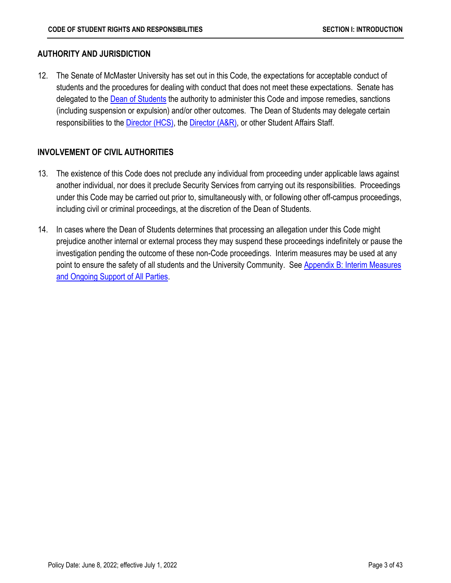### <span id="page-6-0"></span>**AUTHORITY AND JURISDICTION**

12. The Senate of McMaster University has set out in this Code, the expectations for acceptable conduct of students and the procedures for dealing with conduct that does not meet these expectations. Senate has delegated to the **Dean of Students** the authority to administer this Code and impose remedies, sanctions (including suspension or expulsion) and/or other outcomes. The Dean of Students may delegate certain responsibilities to the *Director (HCS)*, the *Director (A&R)*, or other Student Affairs Staff.

## <span id="page-6-1"></span>**INVOLVEMENT OF CIVIL AUTHORITIES**

- 13. The existence of this Code does not preclude any individual from proceeding under applicable laws against another individual, nor does it preclude Security Services from carrying out its responsibilities. Proceedings under this Code may be carried out prior to, simultaneously with, or following other off-campus proceedings, including civil or criminal proceedings, at the discretion of the Dean of Students.
- 14. In cases where the Dean of Students determines that processing an allegation under this Code might prejudice another internal or external process they may suspend these proceedings indefinitely or pause the investigation pending the outcome of these non-Code proceedings. Interim measures may be used at any point to ensure the safety of all students and the University Community. See [Appendix B: Interim Measures](#page-37-1) [and Ongoing Support of All Parties.](#page-37-1)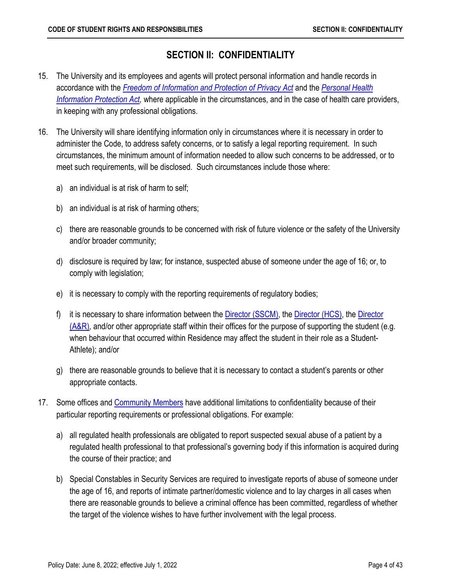## **SECTION II: CONFIDENTIALITY**

- <span id="page-7-0"></span>15. The University and its employees and agents will protect personal information and handle records in accordance with the *[Freedom of Information and Protection of Privacy Act](http://www.e-laws.gov.on.ca/html/statutes/english/elaws_statutes_90f31_e.htm)* and the *[Personal Health](http://www.e-laws.gov.on.ca/html/statutes/english/elaws_statutes_04p03_e.htm)  [Information Protection Act,](http://www.e-laws.gov.on.ca/html/statutes/english/elaws_statutes_04p03_e.htm)* where applicable in the circumstances, and in the case of health care providers, in keeping with any professional obligations.
- 16. The University will share identifying information only in circumstances where it is necessary in order to administer the Code, to address safety concerns, or to satisfy a legal reporting requirement. In such circumstances, the minimum amount of information needed to allow such concerns to be addressed, or to meet such requirements, will be disclosed. Such circumstances include those where:
	- a) an individual is at risk of harm to self;
	- b) an individual is at risk of harming others;
	- c) there are reasonable grounds to be concerned with risk of future violence or the safety of the University and/or broader community;
	- d) disclosure is required by law; for instance, suspected abuse of someone under the age of 16; or, to comply with legislation;
	- e) it is necessary to comply with the reporting requirements of regulatory bodies;
	- f) it is necessary to share information between the [Director \(SSCM\),](#page-4-5) the [Director \(HCS\),](#page-4-3) the Director [\(A&R\)](#page-4-4)*,* and/or other appropriate staff within their offices for the purpose of supporting the student (e.g. when behaviour that occurred within Residence may affect the student in their role as a Student-Athlete); and/or
	- g) there are reasonable grounds to believe that it is necessary to contact a student's parents or other appropriate contacts.
- 17. Some offices and [Community Members](#page-42-1) have additional limitations to confidentiality because of their particular reporting requirements or professional obligations. For example:
	- a) all regulated health professionals are obligated to report suspected sexual abuse of a patient by a regulated health professional to that professional's governing body if this information is acquired during the course of their practice; and
	- b) Special Constables in Security Services are required to investigate reports of abuse of someone under the age of 16, and reports of intimate partner/domestic violence and to lay charges in all cases when there are reasonable grounds to believe a criminal offence has been committed, regardless of whether the target of the violence wishes to have further involvement with the legal process.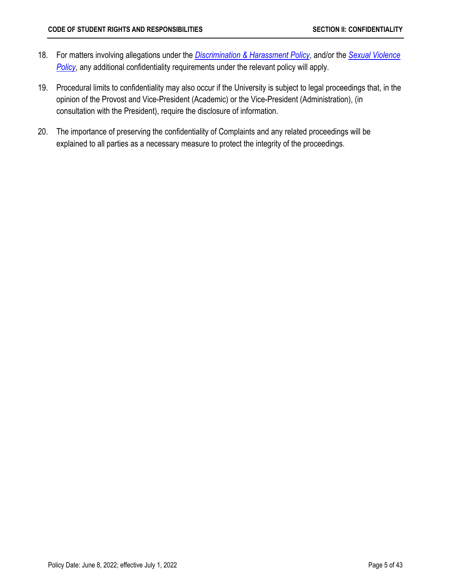- 18. For matters involving allegations under the *[Discrimination & Harassment Policy](https://secretariat.mcmaster.ca/app/uploads/2019/06/Discrimination-and-Harassment-Policy-on.pdf)*, and/or the *[Sexual Violence](https://secretariat.mcmaster.ca/app/uploads/Sexual-Violence-Policy.pdf)*  **[Policy](https://secretariat.mcmaster.ca/app/uploads/Sexual-Violence-Policy.pdf)**, any additional confidentiality requirements under the relevant policy will apply.
- 19. Procedural limits to confidentiality may also occur if the University is subject to legal proceedings that, in the opinion of the Provost and Vice-President (Academic) or the Vice-President (Administration), (in consultation with the President), require the disclosure of information.
- 20. The importance of preserving the confidentiality of Complaints and any related proceedings will be explained to all parties as a necessary measure to protect the integrity of the proceedings.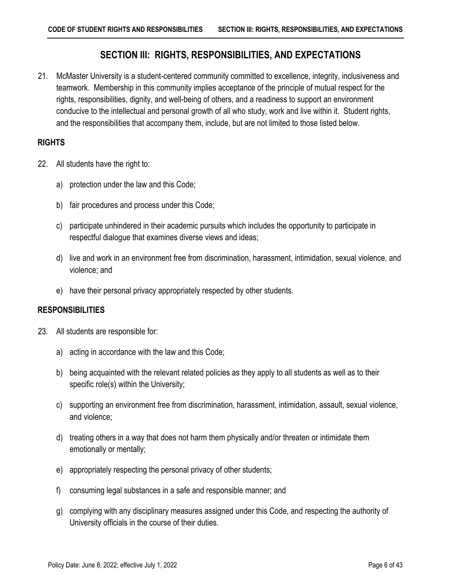## **SECTION III: RIGHTS, RESPONSIBILITIES, AND EXPECTATIONS**

<span id="page-9-0"></span>21. McMaster University is a student-centered community committed to excellence, integrity, inclusiveness and teamwork. Membership in this community implies acceptance of the principle of mutual respect for the rights, responsibilities, dignity, and well-being of others, and a readiness to support an environment conducive to the intellectual and personal growth of all who study, work and live within it. Student rights, and the responsibilities that accompany them, include, but are not limited to those listed below.

### <span id="page-9-1"></span>**RIGHTS**

- 22. All students have the right to:
	- a) protection under the law and this Code;
	- b) fair procedures and process under this Code;
	- c) participate unhindered in their academic pursuits which includes the opportunity to participate in respectful dialogue that examines diverse views and ideas;
	- d) live and work in an environment free from discrimination, harassment, intimidation, sexual violence, and violence; and
	- e) have their personal privacy appropriately respected by other students.

#### <span id="page-9-2"></span>**RESPONSIBILITIES**

- 23. All students are responsible for:
	- a) acting in accordance with the law and this Code;
	- b) being acquainted with the relevant related policies as they apply to all students as well as to their specific role(s) within the University;
	- c) supporting an environment free from discrimination, harassment, intimidation, assault, sexual violence, and violence;
	- d) treating others in a way that does not harm them physically and/or threaten or intimidate them emotionally or mentally;
	- e) appropriately respecting the personal privacy of other students;
	- f) consuming legal substances in a safe and responsible manner; and
	- g) complying with any disciplinary measures assigned under this Code, and respecting the authority of University officials in the course of their duties.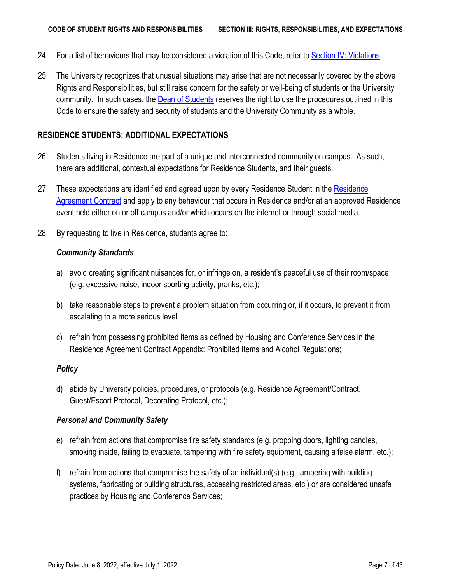- 24. For a list of behaviours that may be considered a violation of this Code, refer to [Section IV: Violations.](#page-13-1)
- 25. The University recognizes that unusual situations may arise that are not necessarily covered by the above Rights and Responsibilities, but still raise concern for the safety or well-being of students or the University community. In such cases, the **Dean of Students** reserves the right to use the procedures outlined in this Code to ensure the safety and security of students and the University Community as a whole.

#### <span id="page-10-1"></span><span id="page-10-0"></span>**RESIDENCE STUDENTS: ADDITIONAL EXPECTATIONS**

- 26. Students living in Residence are part of a unique and interconnected community on campus. As such, there are additional, contextual expectations for Residence Students, and their guests.
- 27. These expectations are identified and agreed upon by every [Residence](https://secretariat.mcmaster.ca/app/uploads/Residence-Agreement-Contract.pdf) Student in the Residence [Agreement Contract](https://secretariat.mcmaster.ca/app/uploads/Residence-Agreement-Contract.pdf) and apply to any behaviour that occurs in Residence and/or at an approved Residence event held either on or off campus and/or which occurs on the internet or through social media.
- 28. By requesting to live in Residence, students agree to:

#### *Community Standards*

- a) avoid creating significant nuisances for, or infringe on, a resident's peaceful use of their room/space (e.g. excessive noise, indoor sporting activity, pranks, etc.);
- b) take reasonable steps to prevent a problem situation from occurring or, if it occurs, to prevent it from escalating to a more serious level;
- c) refrain from possessing prohibited items as defined by Housing and Conference Services in the Residence Agreement Contract Appendix: Prohibited Items and Alcohol Regulations;

#### *Policy*

d) abide by University policies, procedures, or protocols (e.g. Residence Agreement/Contract, Guest/Escort Protocol, Decorating Protocol, etc.);

#### *Personal and Community Safety*

- e) refrain from actions that compromise fire safety standards (e.g. propping doors, lighting candles, smoking inside, failing to evacuate, tampering with fire safety equipment, causing a false alarm, etc.);
- f) refrain from actions that compromise the safety of an individual(s) (e.g. tampering with building systems, fabricating or building structures, accessing restricted areas, etc.) or are considered unsafe practices by Housing and Conference Services;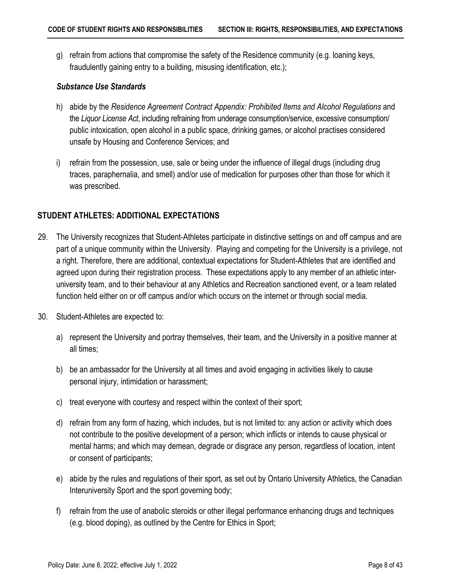g) refrain from actions that compromise the safety of the Residence community (e.g. loaning keys, fraudulently gaining entry to a building, misusing identification, etc.);

#### *Substance Use Standards*

- h) abide by the *Residence Agreement Contract Appendix: Prohibited Items and Alcohol Regulations* and the *Liquor License Act*, including refraining from underage consumption/service, excessive consumption/ public intoxication, open alcohol in a public space, drinking games, or alcohol practises considered unsafe by Housing and Conference Services; and
- i) refrain from the possession, use, sale or being under the influence of illegal drugs (including drug traces, paraphernalia, and smell) and/or use of medication for purposes other than those for which it was prescribed.

### <span id="page-11-1"></span><span id="page-11-0"></span>**STUDENT ATHLETES: ADDITIONAL EXPECTATIONS**

- 29. The University recognizes that Student-Athletes participate in distinctive settings on and off campus and are part of a unique community within the University. Playing and competing for the University is a privilege, not a right. Therefore, there are additional, contextual expectations for Student-Athletes that are identified and agreed upon during their registration process. These expectations apply to any member of an athletic interuniversity team, and to their behaviour at any Athletics and Recreation sanctioned event, or a team related function held either on or off campus and/or which occurs on the internet or through social media.
- 30. Student-Athletes are expected to:
	- a) represent the University and portray themselves, their team, and the University in a positive manner at all times;
	- b) be an ambassador for the University at all times and avoid engaging in activities likely to cause personal injury, intimidation or harassment;
	- c) treat everyone with courtesy and respect within the context of their sport;
	- d) refrain from any form of hazing, which includes, but is not limited to: any action or activity which does not contribute to the positive development of a person; which inflicts or intends to cause physical or mental harms; and which may demean, degrade or disgrace any person, regardless of location, intent or consent of participants;
	- e) abide by the rules and regulations of their sport, as set out by Ontario University Athletics, the Canadian Interuniversity Sport and the sport governing body;
	- f) refrain from the use of anabolic steroids or other illegal performance enhancing drugs and techniques (e.g. blood doping), as outlined by the Centre for Ethics in Sport;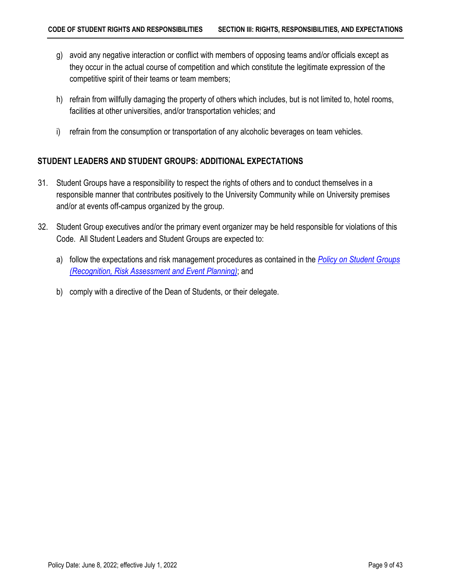- g) avoid any negative interaction or conflict with members of opposing teams and/or officials except as they occur in the actual course of competition and which constitute the legitimate expression of the competitive spirit of their teams or team members;
- h) refrain from willfully damaging the property of others which includes, but is not limited to, hotel rooms, facilities at other universities, and/or transportation vehicles; and
- i) refrain from the consumption or transportation of any alcoholic beverages on team vehicles.

## <span id="page-12-1"></span><span id="page-12-0"></span>**STUDENT LEADERS AND STUDENT GROUPS: ADDITIONAL EXPECTATIONS**

- 31. Student Groups have a responsibility to respect the rights of others and to conduct themselves in a responsible manner that contributes positively to the University Community while on University premises and/or at events off-campus organized by the group.
- 32. Student Group executives and/or the primary event organizer may be held responsible for violations of this Code. All Student Leaders and Student Groups are expected to:
	- a) follow the expectations and risk management procedures as contained in the *[Policy on Student Groups](https://secretariat.mcmaster.ca/app/uploads/2019/02/Policy-on-Student-Groups-Recognition-Risk-Assessment-and-Event-Planning.pdf)  [\(Recognition, Risk Assessment and Event Planning\)](https://secretariat.mcmaster.ca/app/uploads/2019/02/Policy-on-Student-Groups-Recognition-Risk-Assessment-and-Event-Planning.pdf)*; and
	- b) comply with a directive of the Dean of Students, or their delegate.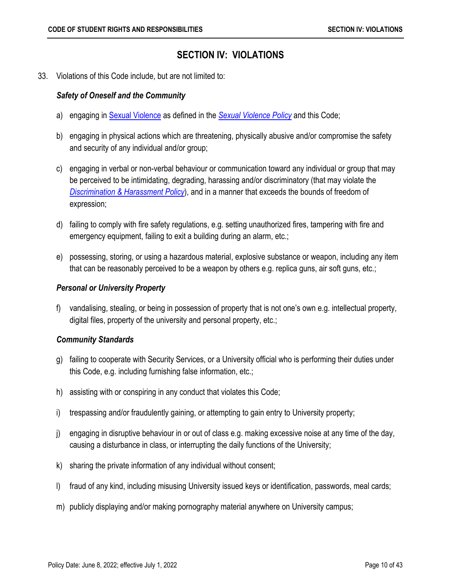## <span id="page-13-1"></span>**SECTION IV: VIOLATIONS**

<span id="page-13-0"></span>33. Violations of this Code include, but are not limited to:

### *Safety of Oneself and the Community*

- a) engaging in [Sexual Violence](#page-44-0) as defined in the *[Sexual Violence Policy](https://secretariat.mcmaster.ca/app/uploads/Sexual-Violence-Policy.pdf)* and this Code;
- b) engaging in physical actions which are threatening, physically abusive and/or compromise the safety and security of any individual and/or group;
- c) engaging in verbal or non-verbal behaviour or communication toward any individual or group that may be perceived to be intimidating, degrading, harassing and/or discriminatory (that may violate the *[Discrimination & Harassment Policy](https://secretariat.mcmaster.ca/app/uploads/2019/06/Discrimination-and-Harassment-Policy-on.pdf)*), and in a manner that exceeds the bounds of freedom of expression;
- d) failing to comply with fire safety regulations, e.g. setting unauthorized fires, tampering with fire and emergency equipment, failing to exit a building during an alarm, etc.;
- e) possessing, storing, or using a hazardous material, explosive substance or weapon, including any item that can be reasonably perceived to be a weapon by others e.g. replica guns, air soft guns, etc.;

### *Personal or University Property*

f) vandalising, stealing, or being in possession of property that is not one's own e.g. intellectual property, digital files, property of the university and personal property, etc.;

## *Community Standards*

- g) failing to cooperate with Security Services, or a University official who is performing their duties under this Code, e.g. including furnishing false information, etc.;
- h) assisting with or conspiring in any conduct that violates this Code;
- i) trespassing and/or fraudulently gaining, or attempting to gain entry to University property;
- j) engaging in disruptive behaviour in or out of class e.g. making excessive noise at any time of the day, causing a disturbance in class, or interrupting the daily functions of the University;
- k) sharing the private information of any individual without consent;
- l) fraud of any kind, including misusing University issued keys or identification, passwords, meal cards;
- m) publicly displaying and/or making pornography material anywhere on University campus;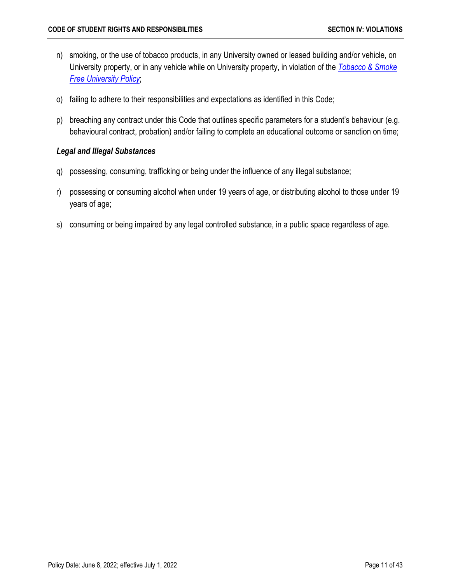- n) smoking, or the use of tobacco products, in any University owned or leased building and/or vehicle, on University property, or in any vehicle while on University property, in violation of the *[Tobacco & Smoke](https://secretariat.mcmaster.ca/app/uploads/2019/06/Tobacco-Smoke-Free-University-Policy.pdf)  [Free University Policy](https://secretariat.mcmaster.ca/app/uploads/2019/06/Tobacco-Smoke-Free-University-Policy.pdf)*;
- o) failing to adhere to their responsibilities and expectations as identified in this Code;
- p) breaching any contract under this Code that outlines specific parameters for a student's behaviour (e.g. behavioural contract, probation) and/or failing to complete an educational outcome or sanction on time;

#### *Legal and Illegal Substances*

- q) possessing, consuming, trafficking or being under the influence of any illegal substance;
- r) possessing or consuming alcohol when under 19 years of age, or distributing alcohol to those under 19 years of age;
- s) consuming or being impaired by any legal controlled substance, in a public space regardless of age.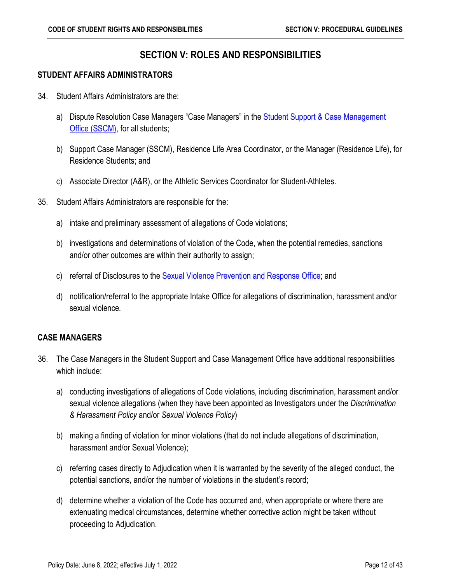## **SECTION V: ROLES AND RESPONSIBILITIES**

### <span id="page-15-1"></span><span id="page-15-0"></span>**STUDENT AFFAIRS ADMINISTRATORS**

- 34. Student Affairs Administrators are the:
	- a) Dispute Resolution Case Managers "Case Managers" in the **Student Support & Case Management** [Office \(SSCM\),](https://sscm.mcmaster.ca/) for all students;
	- b) Support Case Manager (SSCM), Residence Life Area Coordinator, or the Manager (Residence Life), for Residence Students; and
	- c) Associate Director (A&R), or the Athletic Services Coordinator for Student-Athletes.
- 35. Student Affairs Administrators are responsible for the:
	- a) intake and preliminary assessment of allegations of Code violations;
	- b) investigations and determinations of violation of the Code, when the potential remedies, sanctions and/or other outcomes are within their authority to assign;
	- c) referral of Disclosures to the **Sexual Violence Prevention and Response Office**; and
	- d) notification/referral to the appropriate Intake Office for allegations of discrimination, harassment and/or sexual violence*.*

## <span id="page-15-2"></span>**CASE MANAGERS**

- 36. The Case Managers in the Student Support and Case Management Office have additional responsibilities which include:
	- a) conducting investigations of allegations of Code violations, including discrimination, harassment and/or sexual violence allegations (when they have been appointed as Investigators under the *Discrimination & Harassment Policy* and/or *Sexual Violence Policy*)
	- b) making a finding of violation for minor violations (that do not include allegations of discrimination, harassment and/or Sexual Violence);
	- c) referring cases directly to Adjudication when it is warranted by the severity of the alleged conduct, the potential sanctions, and/or the number of violations in the student's record;
	- d) determine whether a violation of the Code has occurred and, when appropriate or where there are extenuating medical circumstances, determine whether corrective action might be taken without proceeding to Adjudication.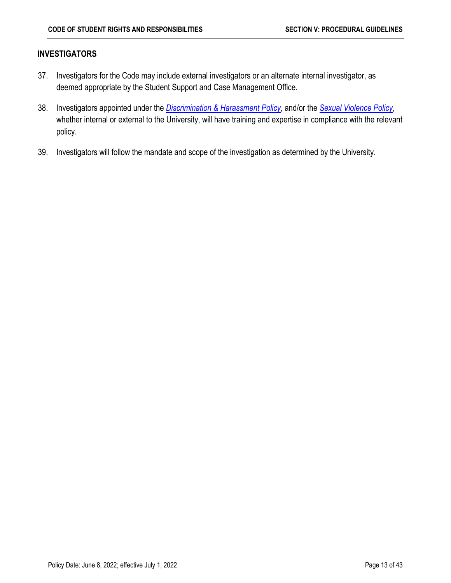#### <span id="page-16-0"></span>**INVESTIGATORS**

- 37. Investigators for the Code may include external investigators or an alternate internal investigator, as deemed appropriate by the Student Support and Case Management Office.
- 38. Investigators appointed under the *[Discrimination & Harassment Policy](https://secretariat.mcmaster.ca/app/uploads/2019/06/Discrimination-and-Harassment-Policy-on.pdf)*, and/or the *[Sexual Violence Policy](https://secretariat.mcmaster.ca/app/uploads/Sexual-Violence-Policy.pdf)*, whether internal or external to the University, will have training and expertise in compliance with the relevant policy.
- 39. Investigators will follow the mandate and scope of the investigation as determined by the University.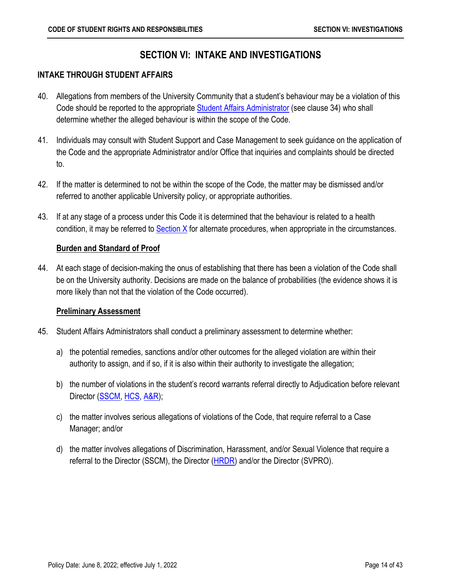## **SECTION VI: INTAKE AND INVESTIGATIONS**

#### <span id="page-17-1"></span><span id="page-17-0"></span>**INTAKE THROUGH STUDENT AFFAIRS**

- 40. Allegations from members of the University Community that a student's behaviour may be a violation of this Code should be reported to the appropriate **Student Affairs Administrator** (see clause 34) who shall determine whether the alleged behaviour is within the scope of the Code.
- 41. Individuals may consult with Student Support and Case Management to seek guidance on the application of the Code and the appropriate Administrator and/or Office that inquiries and complaints should be directed to.
- 42. If the matter is determined to not be within the scope of the Code, the matter may be dismissed and/or referred to another applicable University policy, or appropriate authorities.
- 43. If at any stage of a process under this Code it is determined that the behaviour is related to a health condition, it may be referred to  $Section X$  for alternate procedures, when appropriate in the circumstances.

### <span id="page-17-2"></span>**Burden and Standard of Proof**

44. At each stage of decision-making the onus of establishing that there has been a violation of the Code shall be on the University authority. Decisions are made on the balance of probabilities (the evidence shows it is more likely than not that the violation of the Code occurred).

#### <span id="page-17-3"></span>**Preliminary Assessment**

- 45. Student Affairs Administrators shall conduct a preliminary assessment to determine whether:
	- a) the potential remedies, sanctions and/or other outcomes for the alleged violation are within their authority to assign, and if so, if it is also within their authority to investigate the allegation;
	- b) the number of violations in the student's record warrants referral directly to Adjudication before relevant Director [\(SSCM,](#page-4-5) [HCS,](#page-4-3) [A&R\)](#page-4-4);
	- c) the matter involves serious allegations of violations of the Code, that require referral to a Case Manager; and/or
	- d) the matter involves allegations of Discrimination, Harassment, and/or Sexual Violence that require a referral to the Director (SSCM), the Director [\(HRDR\)](#page-4-6) and/or the Director (SVPRO).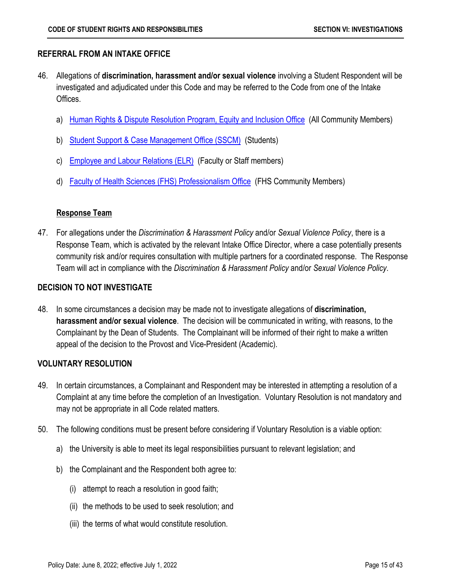## <span id="page-18-0"></span>**REFERRAL FROM AN INTAKE OFFICE**

- 46. Allegations of **discrimination, harassment and/or sexual violence** involving a Student Respondent will be investigated and adjudicated under this Code and may be referred to the Code from one of the Intake Offices.
	- a) [Human Rights & Dispute Resolution Program, Equity and Inclusion Office](https://equity.mcmaster.ca/human-rights) (All Community Members)
	- b) [Student Support & Case Management Office \(SSCM\)](https://sscm.mcmaster.ca/) (Students)
	- c) [Employee and Labour Relations \(ELR\)](https://hr.mcmaster.ca/about-us/our-services/employee-and-labour-relations/) (Faculty or Staff members)
	- d) [Faculty of Health Sciences \(FHS\) Professionalism Office](https://fhs.mcmaster.ca/pcbe/) (FHS Community Members)

## <span id="page-18-1"></span>**Response Team**

47. For allegations under the *Discrimination & Harassment Policy* and/or *Sexual Violence Policy*, there is a Response Team, which is activated by the relevant Intake Office Director, where a case potentially presents community risk and/or requires consultation with multiple partners for a coordinated response. The Response Team will act in compliance with the *Discrimination & Harassment Policy* and/or *Sexual Violence Policy*.

## <span id="page-18-2"></span>**DECISION TO NOT INVESTIGATE**

48. In some circumstances a decision may be made not to investigate allegations of **discrimination, harassment and/or sexual violence**. The decision will be communicated in writing, with reasons, to the Complainant by the Dean of Students. The Complainant will be informed of their right to make a written appeal of the decision to the Provost and Vice-President (Academic).

## <span id="page-18-3"></span>**VOLUNTARY RESOLUTION**

- 49. In certain circumstances, a Complainant and Respondent may be interested in attempting a resolution of a Complaint at any time before the completion of an Investigation. Voluntary Resolution is not mandatory and may not be appropriate in all Code related matters.
- 50. The following conditions must be present before considering if Voluntary Resolution is a viable option:
	- a) the University is able to meet its legal responsibilities pursuant to relevant legislation; and
	- b) the Complainant and the Respondent both agree to:
		- (i) attempt to reach a resolution in good faith;
		- (ii) the methods to be used to seek resolution; and
		- (iii) the terms of what would constitute resolution.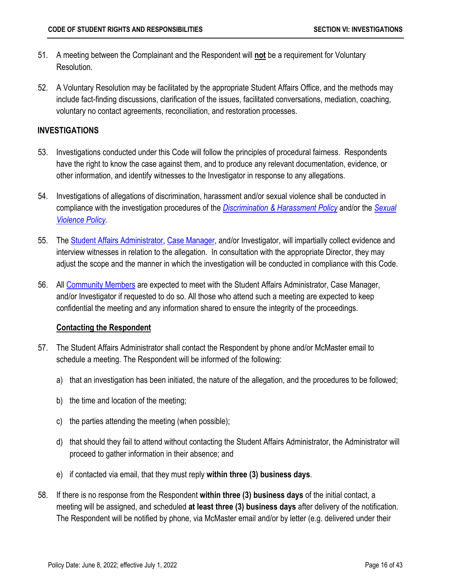- 51. A meeting between the Complainant and the Respondent will **not** be a requirement for Voluntary Resolution.
- 52. A Voluntary Resolution may be facilitated by the appropriate Student Affairs Office, and the methods may include fact-finding discussions, clarification of the issues, facilitated conversations, mediation, coaching, voluntary no contact agreements, reconciliation, and restoration processes.

## <span id="page-19-0"></span>**INVESTIGATIONS**

- 53. Investigations conducted under this Code will follow the principles of procedural fairness. Respondents have the right to know the case against them, and to produce any relevant documentation, evidence, or other information, and identify witnesses to the Investigator in response to any allegations.
- 54. Investigations of allegations of discrimination, harassment and/or sexual violence shall be conducted in compliance with the investigation procedures of the *[Discrimination & Harassment Policy](https://secretariat.mcmaster.ca/app/uploads/2019/06/Discrimination-and-Harassment-Policy-on.pdf)* and/or the *[Sexual](https://secretariat.mcmaster.ca/app/uploads/Sexual-Violence-Policy.pdf)  [Violence Policy.](https://secretariat.mcmaster.ca/app/uploads/Sexual-Violence-Policy.pdf)*
- 55. The [Student Affairs Administrator,](#page-15-1) [Case Manager,](#page-4-7) and/or Investigator, will impartially collect evidence and interview witnesses in relation to the allegation. In consultation with the appropriate Director, they may adjust the scope and the manner in which the investigation will be conducted in compliance with this Code.
- 56. All [Community Members](#page-42-1) are expected to meet with the Student Affairs Administrator, Case Manager, and/or Investigator if requested to do so. All those who attend such a meeting are expected to keep confidential the meeting and any information shared to ensure the integrity of the proceedings.

## <span id="page-19-1"></span>**Contacting the Respondent**

- 57. The Student Affairs Administrator shall contact the Respondent by phone and/or McMaster email to schedule a meeting. The Respondent will be informed of the following:
	- a) that an investigation has been initiated, the nature of the allegation, and the procedures to be followed;
	- b) the time and location of the meeting;
	- c) the parties attending the meeting (when possible);
	- d) that should they fail to attend without contacting the Student Affairs Administrator, the Administrator will proceed to gather information in their absence; and
	- e) if contacted via email, that they must reply **within three (3) business days**.
- 58. If there is no response from the Respondent **within three (3) business days** of the initial contact, a meeting will be assigned, and scheduled **at least three (3) business days** after delivery of the notification. The Respondent will be notified by phone, via McMaster email and/or by letter (e.g. delivered under their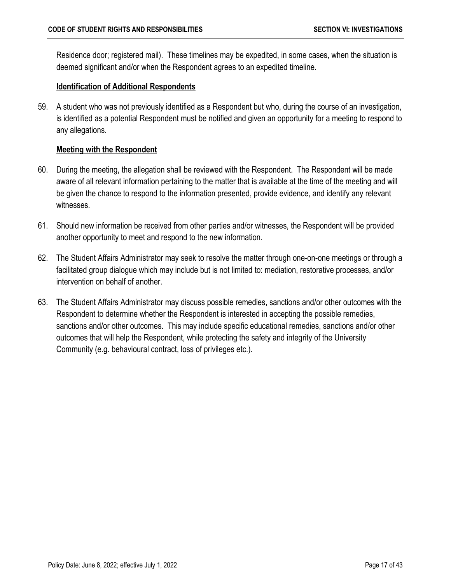Residence door; registered mail). These timelines may be expedited, in some cases, when the situation is deemed significant and/or when the Respondent agrees to an expedited timeline.

### <span id="page-20-0"></span>**Identification of Additional Respondents**

59. A student who was not previously identified as a Respondent but who, during the course of an investigation, is identified as a potential Respondent must be notified and given an opportunity for a meeting to respond to any allegations.

### <span id="page-20-1"></span>**Meeting with the Respondent**

- 60. During the meeting, the allegation shall be reviewed with the Respondent. The Respondent will be made aware of all relevant information pertaining to the matter that is available at the time of the meeting and will be given the chance to respond to the information presented, provide evidence, and identify any relevant witnesses.
- 61. Should new information be received from other parties and/or witnesses, the Respondent will be provided another opportunity to meet and respond to the new information.
- 62. The Student Affairs Administrator may seek to resolve the matter through one-on-one meetings or through a facilitated group dialogue which may include but is not limited to: mediation, restorative processes, and/or intervention on behalf of another.
- 63. The Student Affairs Administrator may discuss possible remedies, sanctions and/or other outcomes with the Respondent to determine whether the Respondent is interested in accepting the possible remedies, sanctions and/or other outcomes. This may include specific educational remedies, sanctions and/or other outcomes that will help the Respondent, while protecting the safety and integrity of the University Community (e.g. behavioural contract, loss of privileges etc.).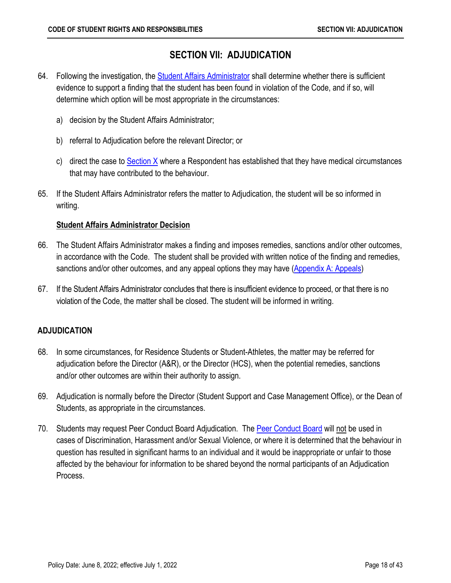## **SECTION VII: ADJUDICATION**

- <span id="page-21-0"></span>64. Following the investigation, the **Student Affairs Administrator shall determine whether there is sufficient** evidence to support a finding that the student has been found in violation of the Code, and if so, will determine which option will be most appropriate in the circumstances:
	- a) decision by the Student Affairs Administrator;
	- b) referral to Adjudication before the relevant Director; or
	- c) direct the case to  $Section X$  where a Respondent has established that they have medical circumstances that may have contributed to the behaviour.
- 65. If the Student Affairs Administrator refers the matter to Adjudication, the student will be so informed in writing.

## <span id="page-21-1"></span>**Student Affairs Administrator Decision**

- 66. The Student Affairs Administrator makes a finding and imposes remedies, sanctions and/or other outcomes, in accordance with the Code. The student shall be provided with written notice of the finding and remedies, sanctions and/or other outcomes, and any appeal options they may have [\(Appendix A: Appeals\)](#page-35-2)
- 67. If the Student Affairs Administrator concludes that there is insufficient evidence to proceed, or that there is no violation of the Code, the matter shall be closed. The student will be informed in writing.

## <span id="page-21-2"></span>**ADJUDICATION**

- 68. In some circumstances, for Residence Students or Student-Athletes, the matter may be referred for adjudication before the Director (A&R), or the Director (HCS), when the potential remedies, sanctions and/or other outcomes are within their authority to assign.
- 69. Adjudication is normally before the Director (Student Support and Case Management Office), or the Dean of Students, as appropriate in the circumstances.
- 70. Students may request [Peer Conduct Board](#page-39-4) Adjudication. The Peer Conduct Board will not be used in cases of Discrimination, Harassment and/or Sexual Violence, or where it is determined that the behaviour in question has resulted in significant harms to an individual and it would be inappropriate or unfair to those affected by the behaviour for information to be shared beyond the normal participants of an Adjudication Process.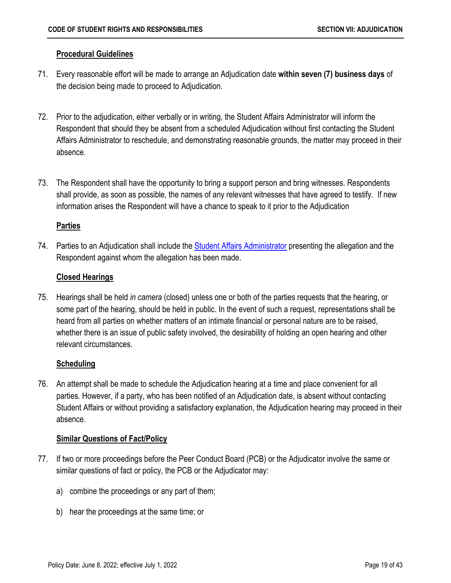## <span id="page-22-0"></span>**Procedural Guidelines**

- 71. Every reasonable effort will be made to arrange an Adjudication date **within seven (7) business days** of the decision being made to proceed to Adjudication.
- 72. Prior to the adjudication, either verbally or in writing, the Student Affairs Administrator will inform the Respondent that should they be absent from a scheduled Adjudication without first contacting the Student Affairs Administrator to reschedule, and demonstrating reasonable grounds, the matter may proceed in their absence.
- 73. The Respondent shall have the opportunity to bring a support person and bring witnesses. Respondents shall provide, as soon as possible, the names of any relevant witnesses that have agreed to testify. If new information arises the Respondent will have a chance to speak to it prior to the Adjudication

## <span id="page-22-1"></span>**Parties**

74. Parties to an Adjudication shall include the [Student Affairs Administrator](#page-15-1) presenting the allegation and the Respondent against whom the allegation has been made.

## <span id="page-22-2"></span>**Closed Hearings**

75. Hearings shall be held *in camera* (closed) unless one or both of the parties requests that the hearing, or some part of the hearing, should be held in public. In the event of such a request, representations shall be heard from all parties on whether matters of an intimate financial or personal nature are to be raised, whether there is an issue of public safety involved, the desirability of holding an open hearing and other relevant circumstances.

## <span id="page-22-3"></span>**Scheduling**

76. An attempt shall be made to schedule the Adjudication hearing at a time and place convenient for all parties. However, if a party, who has been notified of an Adjudication date, is absent without contacting Student Affairs or without providing a satisfactory explanation, the Adjudication hearing may proceed in their absence.

## <span id="page-22-4"></span>**Similar Questions of Fact/Policy**

- 77. If two or more proceedings before the Peer Conduct Board (PCB) or the Adjudicator involve the same or similar questions of fact or policy, the PCB or the Adjudicator may:
	- a) combine the proceedings or any part of them;
	- b) hear the proceedings at the same time; or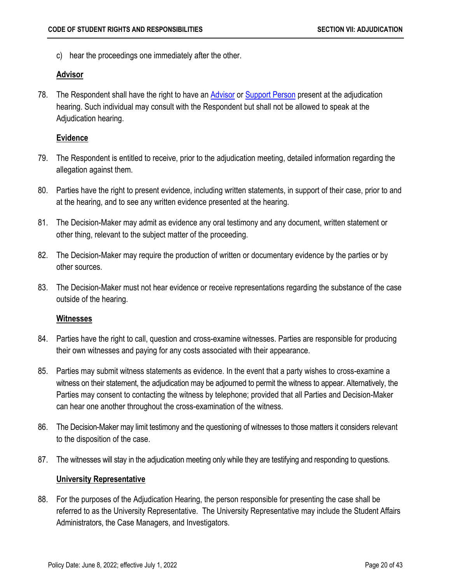c) hear the proceedings one immediately after the other.

### <span id="page-23-0"></span>**Advisor**

78. The Respondent shall have the right to have an **Advisor** or [Support Person](#page-45-0) present at the adjudication hearing. Such individual may consult with the Respondent but shall not be allowed to speak at the Adjudication hearing.

## <span id="page-23-1"></span>**Evidence**

- 79. The Respondent is entitled to receive, prior to the adjudication meeting, detailed information regarding the allegation against them.
- 80. Parties have the right to present evidence, including written statements, in support of their case, prior to and at the hearing, and to see any written evidence presented at the hearing.
- 81. The Decision-Maker may admit as evidence any oral testimony and any document, written statement or other thing, relevant to the subject matter of the proceeding.
- 82. The Decision-Maker may require the production of written or documentary evidence by the parties or by other sources.
- 83. The Decision-Maker must not hear evidence or receive representations regarding the substance of the case outside of the hearing.

## <span id="page-23-2"></span>**Witnesses**

- 84. Parties have the right to call, question and cross-examine witnesses. Parties are responsible for producing their own witnesses and paying for any costs associated with their appearance.
- 85. Parties may submit witness statements as evidence. In the event that a party wishes to cross-examine a witness on their statement, the adjudication may be adjourned to permit the witness to appear. Alternatively, the Parties may consent to contacting the witness by telephone; provided that all Parties and Decision-Maker can hear one another throughout the cross-examination of the witness.
- 86. The Decision-Maker may limit testimony and the questioning of witnesses to those matters it considers relevant to the disposition of the case.
- 87. The witnesses will stay in the adjudication meeting only while they are testifying and responding to questions.

## <span id="page-23-3"></span>**University Representative**

88. For the purposes of the Adjudication Hearing, the person responsible for presenting the case shall be referred to as the University Representative. The University Representative may include the Student Affairs Administrators, the Case Managers, and Investigators.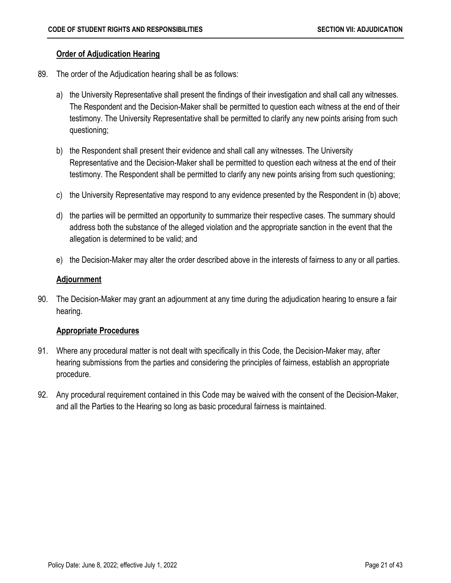### <span id="page-24-0"></span>**Order of Adjudication Hearing**

- 89. The order of the Adjudication hearing shall be as follows:
	- a) the University Representative shall present the findings of their investigation and shall call any witnesses. The Respondent and the Decision-Maker shall be permitted to question each witness at the end of their testimony. The University Representative shall be permitted to clarify any new points arising from such questioning;
	- b) the Respondent shall present their evidence and shall call any witnesses. The University Representative and the Decision-Maker shall be permitted to question each witness at the end of their testimony. The Respondent shall be permitted to clarify any new points arising from such questioning;
	- c) the University Representative may respond to any evidence presented by the Respondent in (b) above;
	- d) the parties will be permitted an opportunity to summarize their respective cases. The summary should address both the substance of the alleged violation and the appropriate sanction in the event that the allegation is determined to be valid; and
	- e) the Decision-Maker may alter the order described above in the interests of fairness to any or all parties.

### <span id="page-24-1"></span>**Adjournment**

90. The Decision-Maker may grant an adjournment at any time during the adjudication hearing to ensure a fair hearing.

#### <span id="page-24-2"></span>**Appropriate Procedures**

- 91. Where any procedural matter is not dealt with specifically in this Code, the Decision-Maker may, after hearing submissions from the parties and considering the principles of fairness, establish an appropriate procedure.
- 92. Any procedural requirement contained in this Code may be waived with the consent of the Decision-Maker, and all the Parties to the Hearing so long as basic procedural fairness is maintained.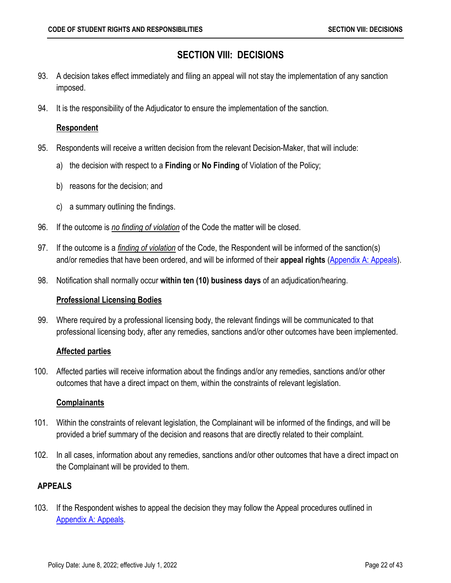## **SECTION VIII: DECISIONS**

- <span id="page-25-0"></span>93. A decision takes effect immediately and filing an appeal will not stay the implementation of any sanction imposed.
- 94. It is the responsibility of the Adjudicator to ensure the implementation of the sanction.

### <span id="page-25-1"></span>**Respondent**

- 95. Respondents will receive a written decision from the relevant Decision-Maker, that will include:
	- a) the decision with respect to a **Finding** or **No Finding** of Violation of the Policy;
	- b) reasons for the decision; and
	- c) a summary outlining the findings.
- 96. If the outcome is *no finding of violation* of the Code the matter will be closed.
- 97. If the outcome is a *finding of violation* of the Code, the Respondent will be informed of the sanction(s) and/or remedies that have been ordered, and will be informed of their **appeal rights** [\(Appendix A: Appeals\)](#page-35-2).
- 98. Notification shall normally occur **within ten (10) business days** of an adjudication/hearing.

## <span id="page-25-2"></span>**Professional Licensing Bodies**

99. Where required by a professional licensing body, the relevant findings will be communicated to that professional licensing body, after any remedies, sanctions and/or other outcomes have been implemented.

## <span id="page-25-3"></span>**Affected parties**

100. Affected parties will receive information about the findings and/or any remedies, sanctions and/or other outcomes that have a direct impact on them, within the constraints of relevant legislation.

#### <span id="page-25-4"></span>**Complainants**

- 101. Within the constraints of relevant legislation, the Complainant will be informed of the findings, and will be provided a brief summary of the decision and reasons that are directly related to their complaint.
- 102. In all cases, information about any remedies, sanctions and/or other outcomes that have a direct impact on the Complainant will be provided to them.

#### <span id="page-25-5"></span>**APPEALS**

103. If the Respondent wishes to appeal the decision they may follow the Appeal procedures outlined in [Appendix A: Appeals.](#page-35-2)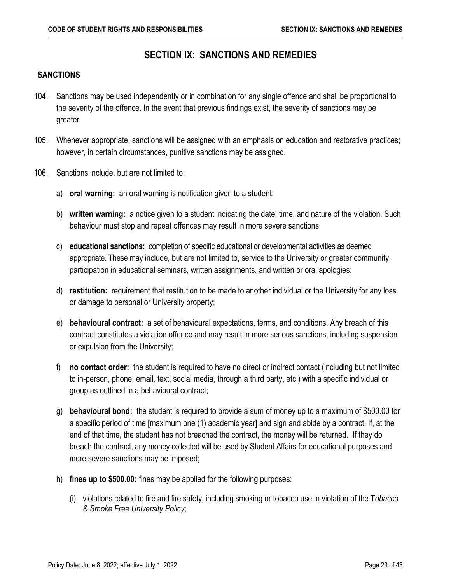## **SECTION IX: SANCTIONS AND REMEDIES**

#### <span id="page-26-1"></span><span id="page-26-0"></span>**SANCTIONS**

- 104. Sanctions may be used independently or in combination for any single offence and shall be proportional to the severity of the offence. In the event that previous findings exist, the severity of sanctions may be greater.
- 105. Whenever appropriate, sanctions will be assigned with an emphasis on education and restorative practices; however, in certain circumstances, punitive sanctions may be assigned.
- 106. Sanctions include, but are not limited to:
	- a) **oral warning:** an oral warning is notification given to a student;
	- b) **written warning:** a notice given to a student indicating the date, time, and nature of the violation. Such behaviour must stop and repeat offences may result in more severe sanctions;
	- c) **educational sanctions:** completion of specific educational or developmental activities as deemed appropriate. These may include, but are not limited to, service to the University or greater community, participation in educational seminars, written assignments, and written or oral apologies;
	- d) **restitution:** requirement that restitution to be made to another individual or the University for any loss or damage to personal or University property;
	- e) **behavioural contract:** a set of behavioural expectations, terms, and conditions. Any breach of this contract constitutes a violation offence and may result in more serious sanctions, including suspension or expulsion from the University;
	- f) **no contact order:** the student is required to have no direct or indirect contact (including but not limited to in-person, phone, email, text, social media, through a third party, etc.) with a specific individual or group as outlined in a behavioural contract;
	- g) **behavioural bond:** the student is required to provide a sum of money up to a maximum of \$500.00 for a specific period of time [maximum one (1) academic year] and sign and abide by a contract. If, at the end of that time, the student has not breached the contract, the money will be returned. If they do breach the contract, any money collected will be used by Student Affairs for educational purposes and more severe sanctions may be imposed;
	- h) **fines up to \$500.00:** fines may be applied for the following purposes:
		- (i) violations related to fire and fire safety, including smoking or tobacco use in violation of the T*obacco & Smoke Free University Policy*;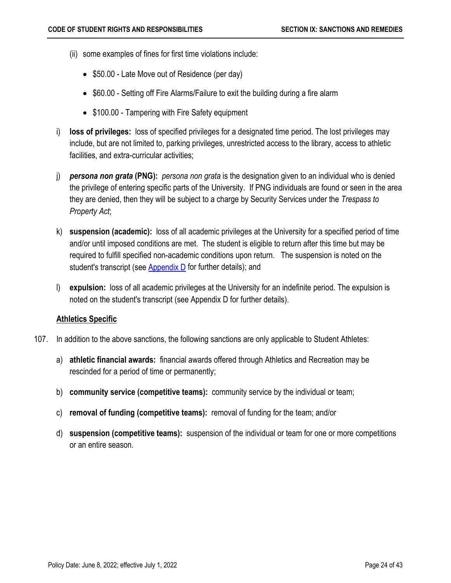- (ii) some examples of fines for first time violations include:
	- \$50.00 Late Move out of Residence (per day)
	- \$60.00 Setting off Fire Alarms/Failure to exit the building during a fire alarm
	- \$100.00 Tampering with Fire Safety equipment
- i) **loss of privileges:** loss of specified privileges for a designated time period. The lost privileges may include, but are not limited to, parking privileges, unrestricted access to the library, access to athletic facilities, and extra-curricular activities;
- j) *persona non grata* **(PNG):** *persona non grata* is the designation given to an individual who is denied the privilege of entering specific parts of the University. If PNG individuals are found or seen in the area they are denied, then they will be subject to a charge by Security Services under the *Trespass to Property Act*;
- k) **suspension (academic):** loss of all academic privileges at the University for a specified period of time and/or until imposed conditions are met. The student is eligible to return after this time but may be required to fulfill specified non-academic conditions upon return. The suspension is noted on the student's transcript (see [Appendix D](#page-40-3) for further details); and
- l) **expulsion:** loss of all academic privileges at the University for an indefinite period. The expulsion is noted on the student's transcript (see Appendix D for further details).

## <span id="page-27-0"></span>**Athletics Specific**

- 107. In addition to the above sanctions, the following sanctions are only applicable to Student Athletes:
	- a) **athletic financial awards:** financial awards offered through Athletics and Recreation may be rescinded for a period of time or permanently;
	- b) **community service (competitive teams):** community service by the individual or team;
	- c) **removal of funding (competitive teams):** removal of funding for the team; and/or
	- d) **suspension (competitive teams):** suspension of the individual or team for one or more competitions or an entire season.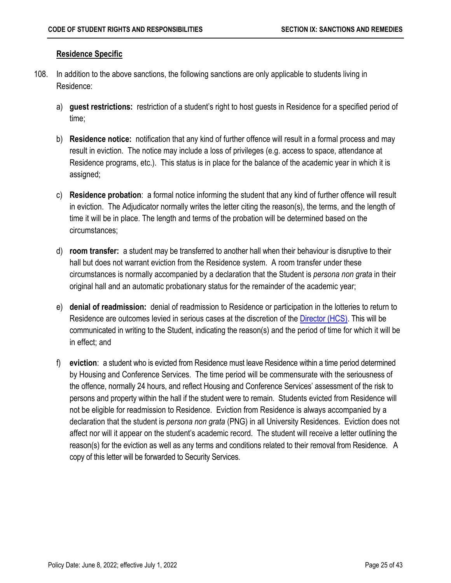### <span id="page-28-0"></span>**Residence Specific**

- 108. In addition to the above sanctions, the following sanctions are only applicable to students living in Residence:
	- a) **guest restrictions:** restriction of a student's right to host guests in Residence for a specified period of time;
	- b) **Residence notice:** notification that any kind of further offence will result in a formal process and may result in eviction. The notice may include a loss of privileges (e.g. access to space, attendance at Residence programs, etc.). This status is in place for the balance of the academic year in which it is assigned;
	- c) **Residence probation**: a formal notice informing the student that any kind of further offence will result in eviction. The Adjudicator normally writes the letter citing the reason(s), the terms, and the length of time it will be in place. The length and terms of the probation will be determined based on the circumstances;
	- d) **room transfer:** a student may be transferred to another hall when their behaviour is disruptive to their hall but does not warrant eviction from the Residence system. A room transfer under these circumstances is normally accompanied by a declaration that the Student is *persona non grata* in their original hall and an automatic probationary status for the remainder of the academic year;
	- e) **denial of readmission:** denial of readmission to Residence or participation in the lotteries to return to Residence are outcomes levied in serious cases at the discretion of the [Director \(HCS\).](#page-4-3) This will be communicated in writing to the Student, indicating the reason(s) and the period of time for which it will be in effect; and
	- f) **eviction**: a student who is evicted from Residence must leave Residence within a time period determined by Housing and Conference Services. The time period will be commensurate with the seriousness of the offence, normally 24 hours, and reflect Housing and Conference Services' assessment of the risk to persons and property within the hall if the student were to remain. Students evicted from Residence will not be eligible for readmission to Residence. Eviction from Residence is always accompanied by a declaration that the student is *persona non grata* (PNG) in all University Residences. Eviction does not affect nor will it appear on the student's academic record. The student will receive a letter outlining the reason(s) for the eviction as well as any terms and conditions related to their removal from Residence. A copy of this letter will be forwarded to Security Services.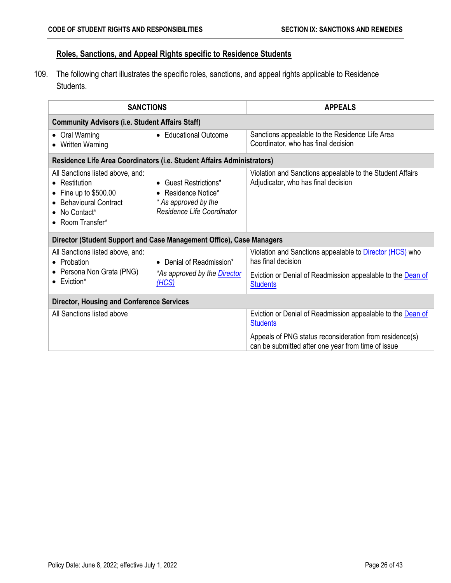## <span id="page-29-0"></span>**Roles, Sanctions, and Appeal Rights specific to Residence Students**

109. The following chart illustrates the specific roles, sanctions, and appeal rights applicable to Residence Students.

| <b>SANCTIONS</b>                                                                                                                                        |                                                                                                    | <b>APPEALS</b>                                                                                                                                                          |  |  |
|---------------------------------------------------------------------------------------------------------------------------------------------------------|----------------------------------------------------------------------------------------------------|-------------------------------------------------------------------------------------------------------------------------------------------------------------------------|--|--|
| <b>Community Advisors (i.e. Student Affairs Staff)</b>                                                                                                  |                                                                                                    |                                                                                                                                                                         |  |  |
| Oral Warning<br>$\bullet$<br><b>Written Warning</b><br>$\bullet$                                                                                        | • Educational Outcome                                                                              | Sanctions appealable to the Residence Life Area<br>Coordinator, who has final decision                                                                                  |  |  |
| Residence Life Area Coordinators (i.e. Student Affairs Administrators)                                                                                  |                                                                                                    |                                                                                                                                                                         |  |  |
| All Sanctions listed above, and:<br>• Restitution<br>Fine up to \$500.00<br><b>Behavioural Contract</b><br>No Contact*<br>$\bullet$<br>• Room Transfer* | • Guest Restrictions*<br>• Residence Notice*<br>* As approved by the<br>Residence Life Coordinator | Violation and Sanctions appealable to the Student Affairs<br>Adjudicator, who has final decision                                                                        |  |  |
| Director (Student Support and Case Management Office), Case Managers                                                                                    |                                                                                                    |                                                                                                                                                                         |  |  |
| All Sanctions listed above, and:<br>• Probation<br>Persona Non Grata (PNG)<br>$\bullet$ Eviction*                                                       | • Denial of Readmission*<br>*As approved by the <i>Director</i><br>(HCS)                           | Violation and Sanctions appealable to <b>Director (HCS)</b> who<br>has final decision<br>Eviction or Denial of Readmission appealable to the Dean of<br><b>Students</b> |  |  |
| <b>Director, Housing and Conference Services</b>                                                                                                        |                                                                                                    |                                                                                                                                                                         |  |  |
| All Sanctions listed above                                                                                                                              |                                                                                                    | Eviction or Denial of Readmission appealable to the Dean of<br><b>Students</b>                                                                                          |  |  |
|                                                                                                                                                         |                                                                                                    | Appeals of PNG status reconsideration from residence(s)<br>can be submitted after one year from time of issue                                                           |  |  |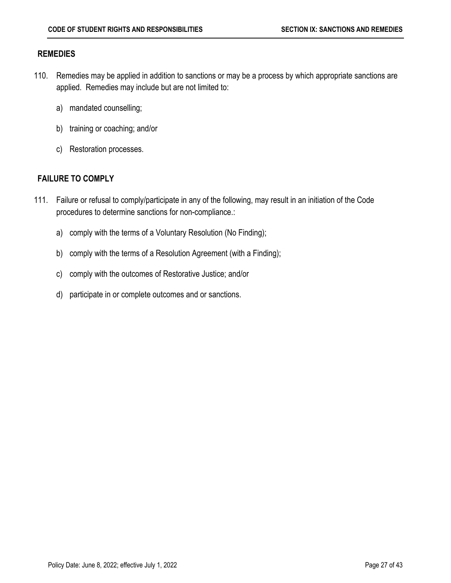#### <span id="page-30-0"></span>**REMEDIES**

- 110. Remedies may be applied in addition to sanctions or may be a process by which appropriate sanctions are applied. Remedies may include but are not limited to:
	- a) mandated counselling;
	- b) training or coaching; and/or
	- c) Restoration processes.

### <span id="page-30-1"></span>**FAILURE TO COMPLY**

- 111. Failure or refusal to comply/participate in any of the following, may result in an initiation of the Code procedures to determine sanctions for non-compliance.:
	- a) comply with the terms of a Voluntary Resolution (No Finding);
	- b) comply with the terms of a Resolution Agreement (with a Finding);
	- c) comply with the outcomes of Restorative Justice; and/or
	- d) participate in or complete outcomes and or sanctions.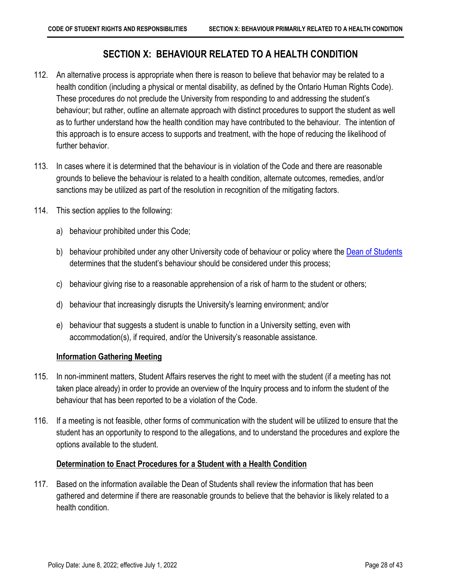## <span id="page-31-3"></span>**SECTION X: BEHAVIOUR RELATED TO A HEALTH CONDITION**

- <span id="page-31-0"></span>112. An alternative process is appropriate when there is reason to believe that behavior may be related to a health condition (including a physical or mental disability, as defined by the Ontario Human Rights Code). These procedures do not preclude the University from responding to and addressing the student's behaviour; but rather, outline an alternate approach with distinct procedures to support the student as well as to further understand how the health condition may have contributed to the behaviour. The intention of this approach is to ensure access to supports and treatment, with the hope of reducing the likelihood of further behavior.
- 113. In cases where it is determined that the behaviour is in violation of the Code and there are reasonable grounds to believe the behaviour is related to a health condition, alternate outcomes, remedies, and/or sanctions may be utilized as part of the resolution in recognition of the mitigating factors.
- 114. This section applies to the following:
	- a) behaviour prohibited under this Code;
	- b) behaviour prohibited under any other University code of behaviour or policy where the [Dean of Students](#page-4-2) determines that the student's behaviour should be considered under this process;
	- c) behaviour giving rise to a reasonable apprehension of a risk of harm to the student or others;
	- d) behaviour that increasingly disrupts the University's learning environment; and/or
	- e) behaviour that suggests a student is unable to function in a University setting, even with accommodation(s), if required, and/or the University's reasonable assistance.

#### <span id="page-31-1"></span>**Information Gathering Meeting**

- 115. In non-imminent matters, Student Affairs reserves the right to meet with the student (if a meeting has not taken place already) in order to provide an overview of the Inquiry process and to inform the student of the behaviour that has been reported to be a violation of the Code.
- 116. If a meeting is not feasible, other forms of communication with the student will be utilized to ensure that the student has an opportunity to respond to the allegations, and to understand the procedures and explore the options available to the student.

#### <span id="page-31-2"></span>**Determination to Enact Procedures for a Student with a Health Condition**

117. Based on the information available the Dean of Students shall review the information that has been gathered and determine if there are reasonable grounds to believe that the behavior is likely related to a health condition.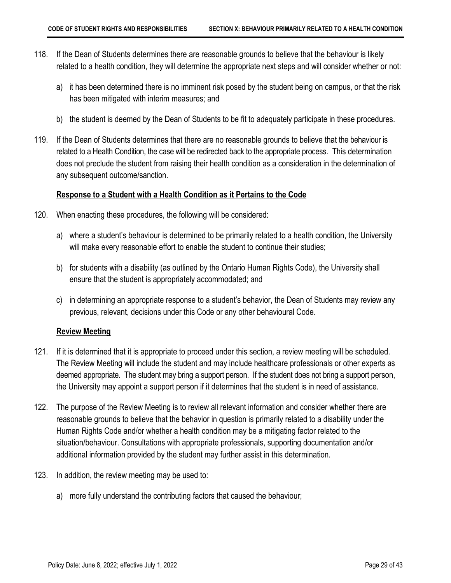- 118. If the Dean of Students determines there are reasonable grounds to believe that the behaviour is likely related to a health condition, they will determine the appropriate next steps and will consider whether or not:
	- a) it has been determined there is no imminent risk posed by the student being on campus, or that the risk has been mitigated with interim measures; and
	- b) the student is deemed by the Dean of Students to be fit to adequately participate in these procedures.
- 119. If the Dean of Students determines that there are no reasonable grounds to believe that the behaviour is related to a Health Condition, the case will be redirected back to the appropriate process. This determination does not preclude the student from raising their health condition as a consideration in the determination of any subsequent outcome/sanction.

#### <span id="page-32-0"></span>**Response to a Student with a Health Condition as it Pertains to the Code**

- 120. When enacting these procedures, the following will be considered:
	- a) where a student's behaviour is determined to be primarily related to a health condition, the University will make every reasonable effort to enable the student to continue their studies;
	- b) for students with a disability (as outlined by the Ontario Human Rights Code), the University shall ensure that the student is appropriately accommodated; and
	- c) in determining an appropriate response to a student's behavior, the Dean of Students may review any previous, relevant, decisions under this Code or any other behavioural Code.

#### <span id="page-32-1"></span>**Review Meeting**

- 121. If it is determined that it is appropriate to proceed under this section, a review meeting will be scheduled. The Review Meeting will include the student and may include healthcare professionals or other experts as deemed appropriate. The student may bring a support person. If the student does not bring a support person, the University may appoint a support person if it determines that the student is in need of assistance.
- 122. The purpose of the Review Meeting is to review all relevant information and consider whether there are reasonable grounds to believe that the behavior in question is primarily related to a disability under the Human Rights Code and/or whether a health condition may be a mitigating factor related to the situation/behaviour. Consultations with appropriate professionals, supporting documentation and/or additional information provided by the student may further assist in this determination.
- 123. In addition, the review meeting may be used to:
	- a) more fully understand the contributing factors that caused the behaviour;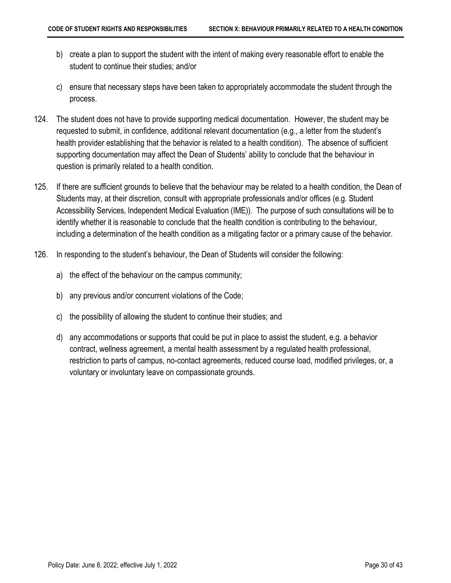- b) create a plan to support the student with the intent of making every reasonable effort to enable the student to continue their studies; and/or
- c) ensure that necessary steps have been taken to appropriately accommodate the student through the process.
- 124. The student does not have to provide supporting medical documentation. However, the student may be requested to submit, in confidence, additional relevant documentation (e.g., a letter from the student's health provider establishing that the behavior is related to a health condition). The absence of sufficient supporting documentation may affect the Dean of Students' ability to conclude that the behaviour in question is primarily related to a health condition.
- 125. If there are sufficient grounds to believe that the behaviour may be related to a health condition, the Dean of Students may, at their discretion, consult with appropriate professionals and/or offices (e.g. Student Accessibility Services, Independent Medical Evaluation (IME)). The purpose of such consultations will be to identify whether it is reasonable to conclude that the health condition is contributing to the behaviour, including a determination of the health condition as a mitigating factor or a primary cause of the behavior.
- 126. In responding to the student's behaviour, the Dean of Students will consider the following:
	- a) the effect of the behaviour on the campus community;
	- b) any previous and/or concurrent violations of the Code;
	- c) the possibility of allowing the student to continue their studies; and
	- d) any accommodations or supports that could be put in place to assist the student, e.g. a behavior contract, wellness agreement, a mental health assessment by a regulated health professional, restriction to parts of campus, no-contact agreements, reduced course load, modified privileges, or, a voluntary or involuntary leave on compassionate grounds.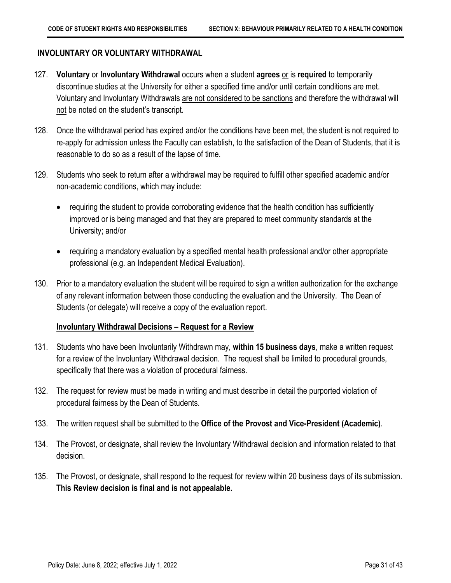### <span id="page-34-0"></span>**INVOLUNTARY OR VOLUNTARY WITHDRAWAL**

- 127. **Voluntary** or **Involuntary Withdrawal** occurs when a student **agrees** or is **required** to temporarily discontinue studies at the University for either a specified time and/or until certain conditions are met. Voluntary and Involuntary Withdrawals are not considered to be sanctions and therefore the withdrawal will not be noted on the student's transcript.
- 128. Once the withdrawal period has expired and/or the conditions have been met, the student is not required to re-apply for admission unless the Faculty can establish, to the satisfaction of the Dean of Students, that it is reasonable to do so as a result of the lapse of time.
- 129. Students who seek to return after a withdrawal may be required to fulfill other specified academic and/or non-academic conditions, which may include:
	- requiring the student to provide corroborating evidence that the health condition has sufficiently improved or is being managed and that they are prepared to meet community standards at the University; and/or
	- requiring a mandatory evaluation by a specified mental health professional and/or other appropriate professional (e.g. an Independent Medical Evaluation).
- 130. Prior to a mandatory evaluation the student will be required to sign a written authorization for the exchange of any relevant information between those conducting the evaluation and the University. The Dean of Students (or delegate) will receive a copy of the evaluation report.

#### <span id="page-34-1"></span>**Involuntary Withdrawal Decisions – Request for a Review**

- 131. Students who have been Involuntarily Withdrawn may, **within 15 business days**, make a written request for a review of the Involuntary Withdrawal decision. The request shall be limited to procedural grounds, specifically that there was a violation of procedural fairness.
- 132. The request for review must be made in writing and must describe in detail the purported violation of procedural fairness by the Dean of Students.
- 133. The written request shall be submitted to the **Office of the Provost and Vice-President (Academic)**.
- 134. The Provost, or designate, shall review the Involuntary Withdrawal decision and information related to that decision.
- 135. The Provost, or designate, shall respond to the request for review within 20 business days of its submission. **This Review decision is final and is not appealable.**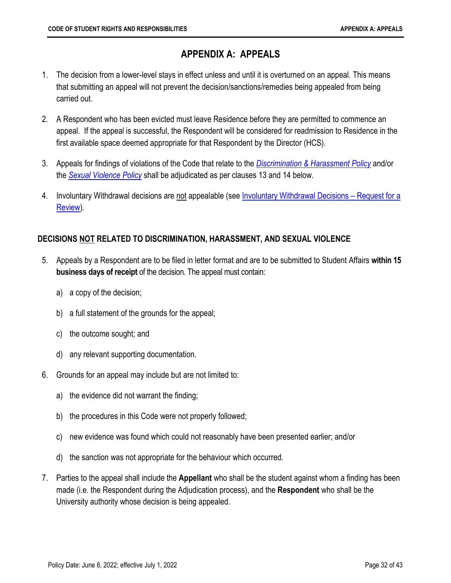## <span id="page-35-2"></span>**APPENDIX A: APPEALS**

- <span id="page-35-0"></span>1. The decision from a lower-level stays in effect unless and until it is overturned on an appeal. This means that submitting an appeal will not prevent the decision/sanctions/remedies being appealed from being carried out.
- 2. A Respondent who has been evicted must leave Residence before they are permitted to commence an appeal. If the appeal is successful, the Respondent will be considered for readmission to Residence in the first available space deemed appropriate for that Respondent by the Director (HCS).
- 3. Appeals for findings of violations of the Code that relate to the *[Discrimination & Harassment Policy](https://secretariat.mcmaster.ca/app/uploads/2019/06/Discrimination-and-Harassment-Policy-on.pdf)* and/or the *[Sexual Violence Policy](https://secretariat.mcmaster.ca/app/uploads/Sexual-Violence-Policy.pdf)* shall be adjudicated as per clauses 13 and 14 below.
- 4. Involuntary Withdrawal decisions are not appealable (see *Involuntary Withdrawal Decisions Request for a* [Review\)](#page-34-1).

## <span id="page-35-1"></span>**DECISIONS NOT RELATED TO DISCRIMINATION, HARASSMENT, AND SEXUAL VIOLENCE**

- 5. Appeals by a Respondent are to be filed in letter format and are to be submitted to Student Affairs **within 15 business days of receipt** of the decision. The appeal must contain:
	- a) a copy of the decision;
	- b) a full statement of the grounds for the appeal;
	- c) the outcome sought; and
	- d) any relevant supporting documentation.
- 6. Grounds for an appeal may include but are not limited to:
	- a) the evidence did not warrant the finding;
	- b) the procedures in this Code were not properly followed;
	- c) new evidence was found which could not reasonably have been presented earlier; and/or
	- d) the sanction was not appropriate for the behaviour which occurred.
- 7. Parties to the appeal shall include the **Appellant** who shall be the student against whom a finding has been made (i.e. the Respondent during the Adjudication process), and the **Respondent** who shall be the University authority whose decision is being appealed.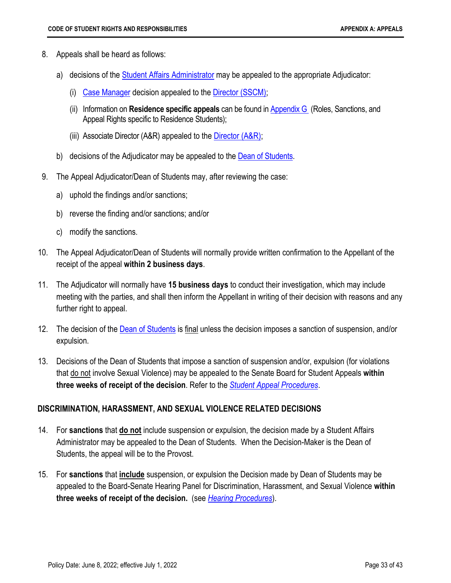- 8. Appeals shall be heard as follows:
	- a) decisions of the [Student Affairs Administrator](#page-15-1) may be appealed to the appropriate Adjudicator:
		- (i) [Case Manager](#page-4-7) decision appealed to the [Director \(SSCM\);](#page-4-5)
		- (ii) Information on **Residence specific appeals** can be found in Appendix G (Roles, Sanctions, and Appeal Rights specific to Residence Students);
		- (iii) Associate Director (A&R) appealed to the  $\overline{\text{Director (A\&R)}}$ ;
	- b) decisions of the Adjudicator may be appealed to the **Dean of Students**.
- 9. The Appeal Adjudicator/Dean of Students may, after reviewing the case:
	- a) uphold the findings and/or sanctions;
	- b) reverse the finding and/or sanctions; and/or
	- c) modify the sanctions.
- 10. The Appeal Adjudicator/Dean of Students will normally provide written confirmation to the Appellant of the receipt of the appeal **within 2 business days**.
- 11. The Adjudicator will normally have **15 business days** to conduct their investigation, which may include meeting with the parties, and shall then inform the Appellant in writing of their decision with reasons and any further right to appeal.
- 12. The decision of the [Dean of Students](#page-4-2) is final unless the decision imposes a sanction of suspension, and/or expulsion.
- 13. Decisions of the Dean of Students that impose a sanction of suspension and/or, expulsion (for violations that do not involve Sexual Violence) may be appealed to the Senate Board for Student Appeals **within three weeks of receipt of the decision**. Refer to the *[Student Appeal Procedures](https://secretariat.mcmaster.ca/app/uploads/2018/09/Student_Appeal_Procedures.pdf)*.

#### <span id="page-36-0"></span>**DISCRIMINATION, HARASSMENT, AND SEXUAL VIOLENCE RELATED DECISIONS**

- 14. For **sanctions** that **do not** include suspension or expulsion, the decision made by a Student Affairs Administrator may be appealed to the Dean of Students. When the Decision-Maker is the Dean of Students, the appeal will be to the Provost.
- 15. For **sanctions** that **include** suspension, or expulsion the Decision made by Dean of Students may be appealed to the Board-Senate Hearing Panel for Discrimination, Harassment, and Sexual Violence **within three weeks of receipt of the decision.** (see *[Hearing Procedures](https://secretariat.mcmaster.ca/app/uploads/2019/06/Hearing-Procedures-DHSV.pdf)*).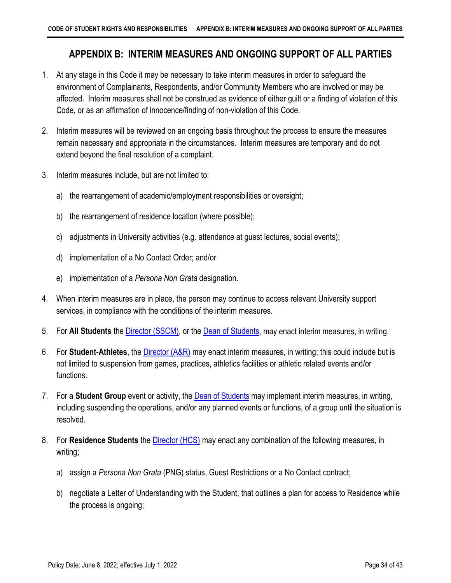## <span id="page-37-1"></span><span id="page-37-0"></span>**APPENDIX B: INTERIM MEASURES AND ONGOING SUPPORT OF ALL PARTIES**

- 1. At any stage in this Code it may be necessary to take interim measures in order to safeguard the environment of Complainants, Respondents, and/or Community Members who are involved or may be affected. Interim measures shall not be construed as evidence of either guilt or a finding of violation of this Code, or as an affirmation of innocence/finding of non-violation of this Code.
- 2. Interim measures will be reviewed on an ongoing basis throughout the process to ensure the measures remain necessary and appropriate in the circumstances. Interim measures are temporary and do not extend beyond the final resolution of a complaint.
- 3. Interim measures include, but are not limited to:
	- a) the rearrangement of academic/employment responsibilities or oversight;
	- b) the rearrangement of residence location (where possible);
	- c) adjustments in University activities (e.g. attendance at guest lectures, social events);
	- d) implementation of a No Contact Order; and/or
	- e) implementation of a *Persona Non Grata* designation.
- 4. When interim measures are in place, the person may continue to access relevant University support services, in compliance with the conditions of the interim measures.
- 5. For **All Students** the [Director \(SSCM\),](#page-4-5) or the [Dean of Students,](#page-4-2) may enact interim measures, in writing.
- 6. For **Student-Athletes**, th[e Director \(A&R\)](#page-4-4) may enact interim measures, in writing; this could include but is not limited to suspension from games, practices, athletics facilities or athletic related events and/or functions.
- 7. For a **Student Group** event or activity, the [Dean of Students](#page-4-2) may implement interim measures, in writing, including suspending the operations, and/or any planned events or functions, of a group until the situation is resolved.
- 8. For **Residence Students** the [Director \(HCS\)](#page-4-3) may enact any combination of the following measures, in writing;
	- a) assign a *Persona Non Grata* (PNG) status, Guest Restrictions or a No Contact contract;
	- b) negotiate a Letter of Understanding with the Student, that outlines a plan for access to Residence while the process is ongoing;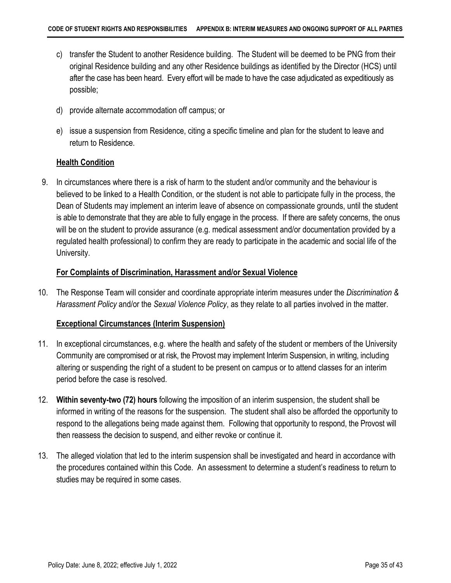- c) transfer the Student to another Residence building. The Student will be deemed to be PNG from their original Residence building and any other Residence buildings as identified by the Director (HCS) until after the case has been heard. Every effort will be made to have the case adjudicated as expeditiously as possible;
- d) provide alternate accommodation off campus; or
- e) issue a suspension from Residence, citing a specific timeline and plan for the student to leave and return to Residence.

#### <span id="page-38-0"></span>**Health Condition**

9. In circumstances where there is a risk of harm to the student and/or community and the behaviour is believed to be linked to a Health Condition, or the student is not able to participate fully in the process, the Dean of Students may implement an interim leave of absence on compassionate grounds, until the student is able to demonstrate that they are able to fully engage in the process. If there are safety concerns, the onus will be on the student to provide assurance (e.g. medical assessment and/or documentation provided by a regulated health professional) to confirm they are ready to participate in the academic and social life of the University.

### <span id="page-38-1"></span>**For Complaints of Discrimination, Harassment and/or Sexual Violence**

10. The Response Team will consider and coordinate appropriate interim measures under the *Discrimination & Harassment Policy* and/or the *Sexual Violence Policy*, as they relate to all parties involved in the matter.

## <span id="page-38-2"></span>**Exceptional Circumstances (Interim Suspension)**

- 11. In exceptional circumstances, e.g. where the health and safety of the student or members of the University Community are compromised or at risk, the Provost may implement Interim Suspension, in writing, including altering or suspending the right of a student to be present on campus or to attend classes for an interim period before the case is resolved.
- 12. **Within seventy-two (72) hours** following the imposition of an interim suspension, the student shall be informed in writing of the reasons for the suspension. The student shall also be afforded the opportunity to respond to the allegations being made against them. Following that opportunity to respond, the Provost will then reassess the decision to suspend, and either revoke or continue it.
- 13. The alleged violation that led to the interim suspension shall be investigated and heard in accordance with the procedures contained within this Code. An assessment to determine a student's readiness to return to studies may be required in some cases.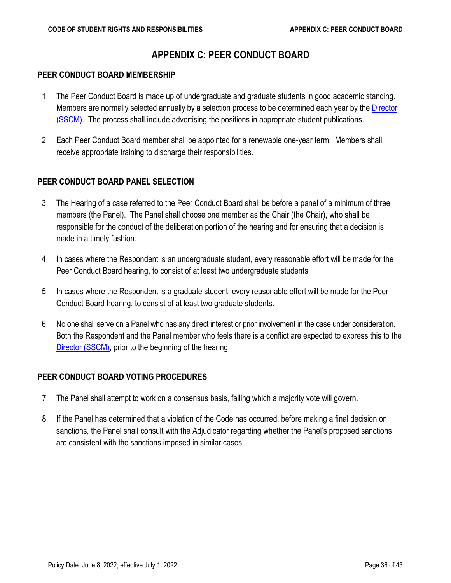## <span id="page-39-4"></span>**APPENDIX C: PEER CONDUCT BOARD**

### <span id="page-39-1"></span><span id="page-39-0"></span>**PEER CONDUCT BOARD MEMBERSHIP**

- 1. The Peer Conduct Board is made up of undergraduate and graduate students in good academic standing. Members are normally selected annually by a selection process to be determined each year by the Director [\(SSCM\).](#page-4-5) The process shall include advertising the positions in appropriate student publications.
- 2. Each Peer Conduct Board member shall be appointed for a renewable one-year term. Members shall receive appropriate training to discharge their responsibilities.

## <span id="page-39-2"></span>**PEER CONDUCT BOARD PANEL SELECTION**

- 3. The Hearing of a case referred to the Peer Conduct Board shall be before a panel of a minimum of three members (the Panel). The Panel shall choose one member as the Chair (the Chair), who shall be responsible for the conduct of the deliberation portion of the hearing and for ensuring that a decision is made in a timely fashion.
- 4. In cases where the Respondent is an undergraduate student, every reasonable effort will be made for the Peer Conduct Board hearing, to consist of at least two undergraduate students.
- 5. In cases where the Respondent is a graduate student, every reasonable effort will be made for the Peer Conduct Board hearing, to consist of at least two graduate students.
- 6. No one shall serve on a Panel who has any direct interest or prior involvement in the case under consideration. Both the Respondent and the Panel member who feels there is a conflict are expected to express this to the [Director \(SSCM\),](#page-4-5) prior to the beginning of the hearing.

## <span id="page-39-3"></span>**PEER CONDUCT BOARD VOTING PROCEDURES**

- 7. The Panel shall attempt to work on a consensus basis, failing which a majority vote will govern.
- 8. If the Panel has determined that a violation of the Code has occurred, before making a final decision on sanctions, the Panel shall consult with the Adjudicator regarding whether the Panel's proposed sanctions are consistent with the sanctions imposed in similar cases.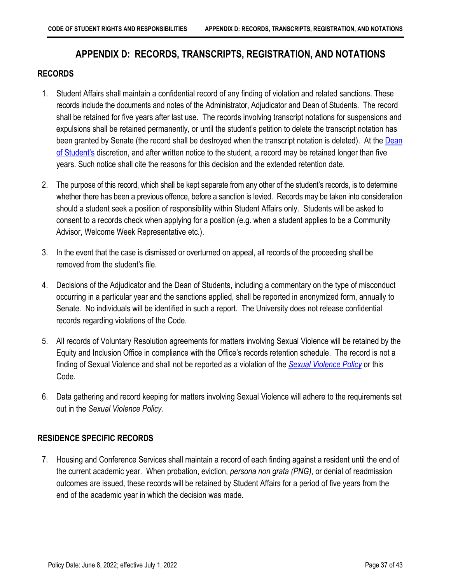## <span id="page-40-3"></span>**APPENDIX D: RECORDS, TRANSCRIPTS, REGISTRATION, AND NOTATIONS**

#### <span id="page-40-1"></span><span id="page-40-0"></span>**RECORDS**

- 1. Student Affairs shall maintain a confidential record of any finding of violation and related sanctions. These records include the documents and notes of the Administrator, Adjudicator and Dean of Students. The record shall be retained for five years after last use. The records involving transcript notations for suspensions and expulsions shall be retained permanently, or until the student's petition to delete the transcript notation has been granted by Senate (the record shall be destroyed when the transcript notation is deleted). At the [Dean](#page-4-2)  [of Student's](#page-4-2) discretion, and after written notice to the student, a record may be retained longer than five years. Such notice shall cite the reasons for this decision and the extended retention date.
- 2. The purpose of this record, which shall be kept separate from any other of the student's records, is to determine whether there has been a previous offence, before a sanction is levied. Records may be taken into consideration should a student seek a position of responsibility within Student Affairs only. Students will be asked to consent to a records check when applying for a position (e.g. when a student applies to be a Community Advisor, Welcome Week Representative etc.).
- 3. In the event that the case is dismissed or overturned on appeal, all records of the proceeding shall be removed from the student's file.
- 4. Decisions of the Adjudicator and the Dean of Students, including a commentary on the type of misconduct occurring in a particular year and the sanctions applied, shall be reported in anonymized form, annually to Senate. No individuals will be identified in such a report. The University does not release confidential records regarding violations of the Code.
- 5. All records of Voluntary Resolution agreements for matters involving Sexual Violence will be retained by the [Equity and Inclusion Office](http://hres.mcmaster.ca/) in compliance with the Office's records retention schedule. The record is not a finding of Sexual Violence and shall not be reported as a violation of the *[Sexual Violence Policy](https://secretariat.mcmaster.ca/app/uploads/Sexual-Violence-Policy.pdf)* or this Code.
- 6. Data gathering and record keeping for matters involving Sexual Violence will adhere to the requirements set out in the *Sexual Violence Policy.*

## <span id="page-40-2"></span>**RESIDENCE SPECIFIC RECORDS**

7. Housing and Conference Services shall maintain a record of each finding against a resident until the end of the current academic year. When probation, eviction, *persona non grata (PNG)*, or denial of readmission outcomes are issued, these records will be retained by Student Affairs for a period of five years from the end of the academic year in which the decision was made.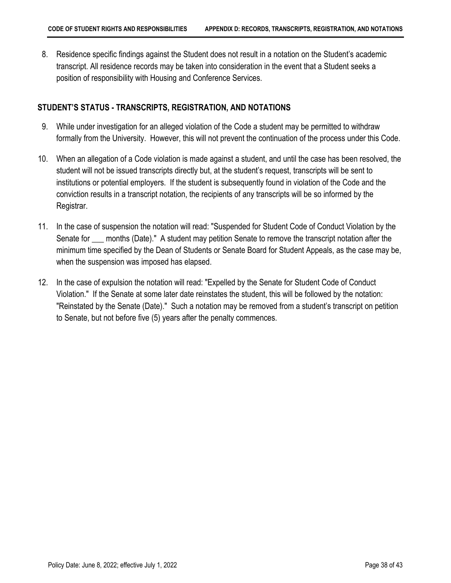8. Residence specific findings against the Student does not result in a notation on the Student's academic transcript. All residence records may be taken into consideration in the event that a Student seeks a position of responsibility with Housing and Conference Services.

### <span id="page-41-0"></span>**STUDENT'S STATUS - TRANSCRIPTS, REGISTRATION, AND NOTATIONS**

- 9. While under investigation for an alleged violation of the Code a student may be permitted to withdraw formally from the University. However, this will not prevent the continuation of the process under this Code.
- 10. When an allegation of a Code violation is made against a student, and until the case has been resolved, the student will not be issued transcripts directly but, at the student's request, transcripts will be sent to institutions or potential employers. If the student is subsequently found in violation of the Code and the conviction results in a transcript notation, the recipients of any transcripts will be so informed by the Registrar.
- 11. In the case of suspension the notation will read: "Suspended for Student Code of Conduct Violation by the Senate for \_\_\_ months (Date)." A student may petition Senate to remove the transcript notation after the minimum time specified by the Dean of Students or Senate Board for Student Appeals, as the case may be, when the suspension was imposed has elapsed.
- 12. In the case of expulsion the notation will read: "Expelled by the Senate for Student Code of Conduct Violation." If the Senate at some later date reinstates the student, this will be followed by the notation: "Reinstated by the Senate (Date)." Such a notation may be removed from a student's transcript on petition to Senate, but not before five (5) years after the penalty commences.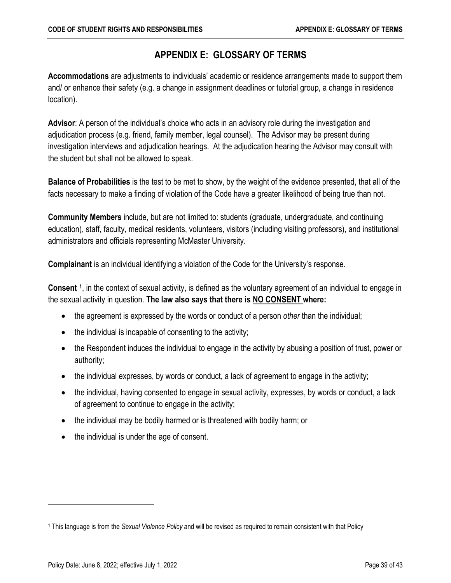## **APPENDIX E: GLOSSARY OF TERMS**

<span id="page-42-0"></span>**Accommodations** are adjustments to individuals' academic or residence arrangements made to support them and/ or enhance their safety (e.g. a change in assignment deadlines or tutorial group, a change in residence location).

<span id="page-42-2"></span>**Advisor**: A person of the individual's choice who acts in an advisory role during the investigation and adjudication process (e.g. friend, family member, legal counsel). The Advisor may be present during investigation interviews and adjudication hearings. At the adjudication hearing the Advisor may consult with the student but shall not be allowed to speak.

**Balance of Probabilities** is the test to be met to show, by the weight of the evidence presented, that all of the facts necessary to make a finding of violation of the Code have a greater likelihood of being true than not.

<span id="page-42-1"></span>**Community Members** include, but are not limited to: students (graduate, undergraduate, and continuing education), staff, faculty, medical residents, volunteers, visitors (including visiting professors), and institutional administrators and officials representing McMaster University.

**Complainant** is an individual identifying a violation of the Code for the University's response.

**Consent [1](#page-42-3)**, in the context of sexual activity, is defined as the voluntary agreement of an individual to engage in the sexual activity in question. **The law also says that there is NO CONSENT where:**

- the agreement is expressed by the words or conduct of a person *other* than the individual;
- the individual is incapable of consenting to the activity;
- the Respondent induces the individual to engage in the activity by abusing a position of trust, power or authority;
- the individual expresses, by words or conduct, a lack of agreement to engage in the activity;
- the individual, having consented to engage in sexual activity, expresses, by words or conduct, a lack of agreement to continue to engage in the activity;
- the individual may be bodily harmed or is threatened with bodily harm; or
- the individual is under the age of consent.

<span id="page-42-3"></span><sup>1</sup> This language is from the *Sexual Violence Policy* and will be revised as required to remain consistent with that Policy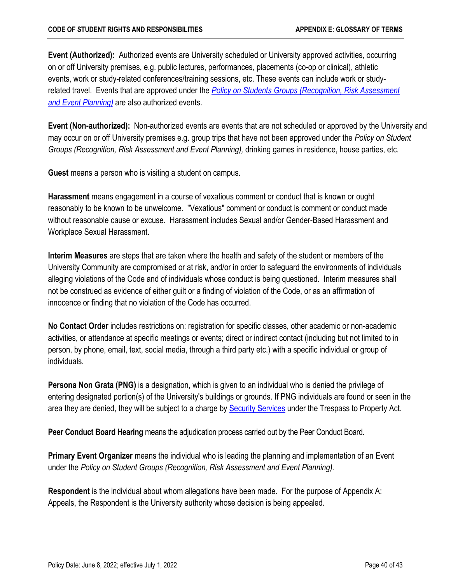**Event (Authorized):** Authorized events are University scheduled or University approved activities, occurring on or off University premises, e.g. public lectures, performances, placements (co-op or clinical), athletic events, work or study-related conferences/training sessions, etc. These events can include work or studyrelated travel. Events that are approved under the *[Policy on Students Groups \(Recognition, Risk Assessment](https://secretariat.mcmaster.ca/app/uploads/2019/02/Policy-on-Student-Groups-Recognition-Risk-Assessment-and-Event-Planning.pdf)  [and Event Planning\)](https://secretariat.mcmaster.ca/app/uploads/2019/02/Policy-on-Student-Groups-Recognition-Risk-Assessment-and-Event-Planning.pdf)* are also authorized events.

**Event (Non-authorized):** Non-authorized events are events that are not scheduled or approved by the University and may occur on or off University premises e.g. group trips that have not been approved under the *Policy on Student Groups (Recognition, Risk Assessment and Event Planning),* drinking games in residence, house parties, etc.

**Guest** means a person who is visiting a student on campus.

**Harassment** means engagement in a course of vexatious comment or conduct that is known or ought reasonably to be known to be unwelcome. "Vexatious" comment or conduct is comment or conduct made without reasonable cause or excuse. Harassment includes Sexual and/or Gender-Based Harassment and Workplace Sexual Harassment.

**Interim Measures** are steps that are taken where the health and safety of the student or members of the University Community are compromised or at risk, and/or in order to safeguard the environments of individuals alleging violations of the Code and of individuals whose conduct is being questioned. Interim measures shall not be construed as evidence of either guilt or a finding of violation of the Code, or as an affirmation of innocence or finding that no violation of the Code has occurred.

**No Contact Order** includes restrictions on: registration for specific classes, other academic or non-academic activities, or attendance at specific meetings or events; direct or indirect contact (including but not limited to in person, by phone, email, text, social media, through a third party etc.) with a specific individual or group of individuals.

**Persona Non Grata (PNG)** is a designation, which is given to an individual who is denied the privilege of entering designated portion(s) of the University's buildings or grounds. If PNG individuals are found or seen in the area they are denied, they will be subject to a charge by **Security Services** under the Trespass to Property Act.

**Peer Conduct Board Hearing** means the adjudication process carried out by the Peer Conduct Board.

**Primary Event Organizer** means the individual who is leading the planning and implementation of an Event under the *Policy on Student Groups (Recognition, Risk Assessment and Event Planning).*

**Respondent** is the individual about whom allegations have been made. For the purpose of Appendix A: Appeals, the Respondent is the University authority whose decision is being appealed.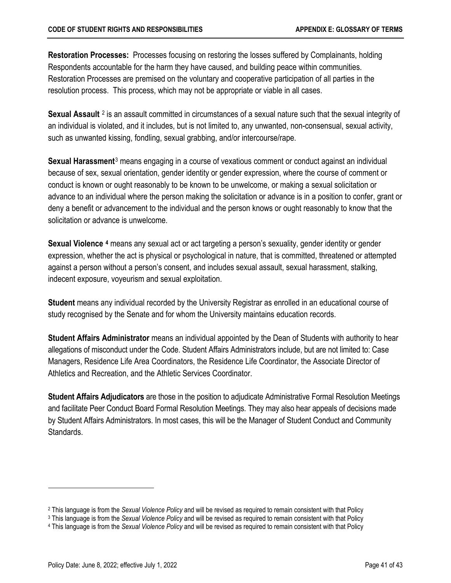**Restoration Processes:** Processes focusing on restoring the losses suffered by Complainants, holding Respondents accountable for the harm they have caused, and building peace within communities. Restoration Processes are premised on the voluntary and cooperative participation of all parties in the resolution process. This process, which may not be appropriate or viable in all cases.

**Sexual Assault** [2](#page-44-1) is an assault committed in circumstances of a sexual nature such that the sexual integrity of an individual is violated, and it includes, but is not limited to, any unwanted, non-consensual, sexual activity, such as unwanted kissing, fondling, sexual grabbing, and/or intercourse/rape.

**Sexual Harassment**[3](#page-44-2) means engaging in a course of vexatious comment or conduct against an individual because of sex, sexual orientation, gender identity or gender expression, where the course of comment or conduct is known or ought reasonably to be known to be unwelcome, or making a sexual solicitation or advance to an individual where the person making the solicitation or advance is in a position to confer, grant or deny a benefit or advancement to the individual and the person knows or ought reasonably to know that the solicitation or advance is unwelcome.

<span id="page-44-0"></span>**Sexual Violence [4](#page-44-3)** means any sexual act or act targeting a person's sexuality, gender identity or gender expression, whether the act is physical or psychological in nature, that is committed, threatened or attempted against a person without a person's consent, and includes sexual assault, sexual harassment, stalking, indecent exposure, voyeurism and sexual exploitation.

**Student** means any individual recorded by the University Registrar as enrolled in an educational course of study recognised by the Senate and for whom the University maintains education records.

**Student Affairs Administrator** means an individual appointed by the Dean of Students with authority to hear allegations of misconduct under the Code. Student Affairs Administrators include, but are not limited to: Case Managers, Residence Life Area Coordinators, the Residence Life Coordinator, the Associate Director of Athletics and Recreation, and the Athletic Services Coordinator.

**Student Affairs Adjudicators** are those in the position to adjudicate Administrative Formal Resolution Meetings and facilitate Peer Conduct Board Formal Resolution Meetings. They may also hear appeals of decisions made by Student Affairs Administrators. In most cases, this will be the Manager of Student Conduct and Community Standards.

<span id="page-44-1"></span><sup>2</sup> This language is from the *Sexual Violence Policy* and will be revised as required to remain consistent with that Policy

<span id="page-44-2"></span><sup>3</sup> This language is from the *Sexual Violence Policy* and will be revised as required to remain consistent with that Policy

<span id="page-44-3"></span><sup>4</sup> This language is from the *Sexual Violence Policy* and will be revised as required to remain consistent with that Policy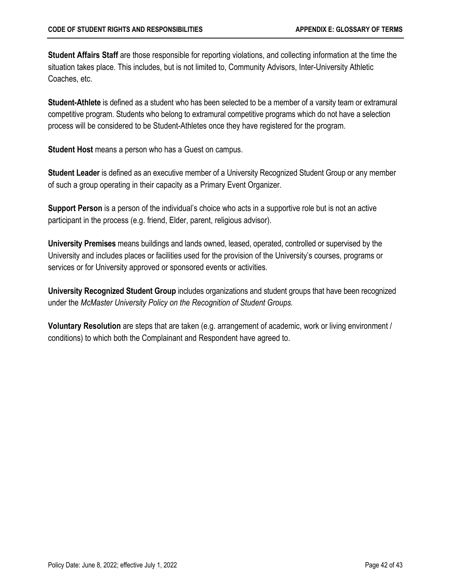**Student Affairs Staff** are those responsible for reporting violations, and collecting information at the time the situation takes place. This includes, but is not limited to, Community Advisors, Inter-University Athletic Coaches, etc.

**Student-Athlete** is defined as a student who has been selected to be a member of a varsity team or extramural competitive program. Students who belong to extramural competitive programs which do not have a selection process will be considered to be Student-Athletes once they have registered for the program.

**Student Host** means a person who has a Guest on campus.

**Student Leader** is defined as an executive member of a University Recognized Student Group or any member of such a group operating in their capacity as a Primary Event Organizer.

<span id="page-45-0"></span>**Support Person** is a person of the individual's choice who acts in a supportive role but is not an active participant in the process (e.g. friend, Elder, parent, religious advisor).

**University Premises** means buildings and lands owned, leased, operated, controlled or supervised by the University and includes places or facilities used for the provision of the University's courses, programs or services or for University approved or sponsored events or activities.

**University Recognized Student Group** includes organizations and student groups that have been recognized under the *McMaster University Policy on the Recognition of Student Groups.*

**Voluntary Resolution** are steps that are taken (e.g. arrangement of academic, work or living environment / conditions) to which both the Complainant and Respondent have agreed to.